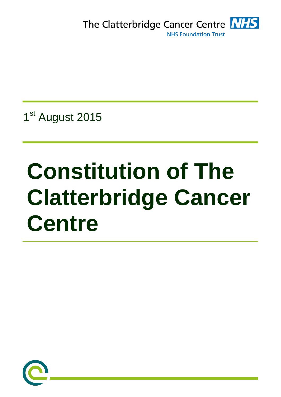The Clatterbridge Cancer Centre **NHS NHS Foundation Trust** 

1<sup>st</sup> August 2015

# **Constitution of The Clatterbridge Cancer Centre**

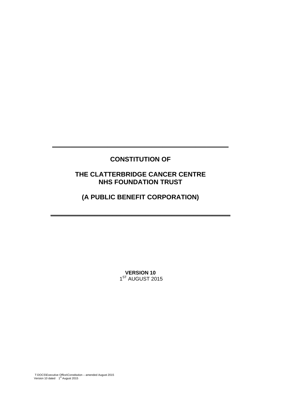# **CONSTITUTION OF**

**\_\_\_\_\_\_\_\_\_\_\_\_\_\_\_\_\_\_\_\_\_\_\_\_\_\_\_\_\_\_\_\_\_\_\_\_\_\_\_\_\_\_\_\_\_\_\_\_** 

# **THE CLATTERBRIDGE CANCER CENTRE NHS FOUNDATION TRUST**

# **(A PUBLIC BENEFIT CORPORATION)**

**\_\_\_\_\_\_\_\_\_\_\_\_\_\_\_\_\_\_\_\_\_\_\_\_\_\_\_\_\_\_\_\_\_\_\_\_\_\_\_\_\_\_\_\_\_\_\_\_\_** 

**VERSION 10**  1ST AUGUST 2015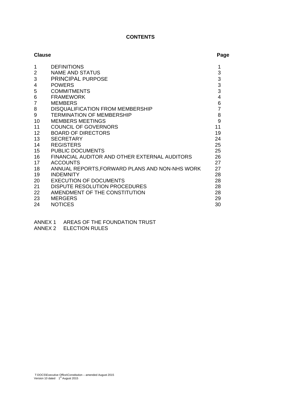# **CONTENTS**

| <b>Clause</b>  |                                                | Page           |
|----------------|------------------------------------------------|----------------|
| 1              | <b>DEFINITIONS</b>                             | 1              |
| $\overline{2}$ | <b>NAME AND STATUS</b>                         | 3              |
| 3              | PRINCIPAL PURPOSE                              | 3              |
| 4              | <b>POWERS</b>                                  | $\frac{3}{3}$  |
| 5              | <b>COMMITMENTS</b>                             |                |
| 6              | <b>FRAMEWORK</b>                               | 4              |
| $\overline{7}$ | <b>MEMBERS</b>                                 | 6              |
| 8              | DISQUALIFICATION FROM MEMBERSHIP               | $\overline{7}$ |
| 9              | <b>TERMINATION OF MEMBERSHIP</b>               | 8              |
| 10             | <b>MEMBERS MEETINGS</b>                        | 9              |
| 11             | <b>COUNCIL OF GOVERNORS</b>                    | 11             |
| 12             | <b>BOARD OF DIRECTORS</b>                      | 19             |
| 13             | <b>SECRETARY</b>                               | 24             |
| 14             | <b>REGISTERS</b>                               | 25             |
| 15             | <b>PUBLIC DOCUMENTS</b>                        | 25             |
| 16             | FINANCIAL AUDITOR AND OTHER EXTERNAL AUDITORS  | 26             |
| 17             | <b>ACCOUNTS</b>                                | 27             |
| 18             | ANNUAL REPORTS, FORWARD PLANS AND NON-NHS WORK | 27             |
| 19             | <b>INDEMNITY</b>                               | 28             |
| 20             | <b>EXECUTION OF DOCUMENTS</b>                  | 28             |
| 21             | <b>DISPUTE RESOLUTION PROCEDURES</b>           | 28             |
| 22             | AMENDMENT OF THE CONSTITUTION                  | 28             |
| 23             | <b>MERGERS</b>                                 | 29             |
| 24             | <b>NOTICES</b>                                 | 30             |

- ANNEX 1 AREAS OF THE FOUNDATION TRUST
- ANNEX 2 ELECTION RULES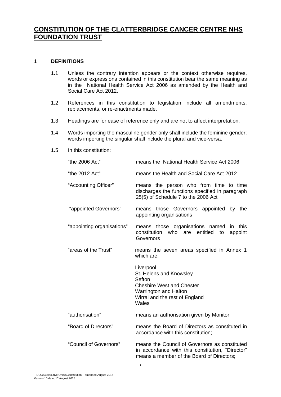# **CONSTITUTION OF THE CLATTERBRIDGE CANCER CENTRE NHS FOUNDATION TRUST**

# 1 **DEFINITIONS**

- 1.1 Unless the contrary intention appears or the context otherwise requires, words or expressions contained in this constitution bear the same meaning as in the National Health Service Act 2006 as amended by the Health and Social Care Act 2012.
- 1.2 References in this constitution to legislation include all amendments, replacements, or re-enactments made.
- 1.3 Headings are for ease of reference only and are not to affect interpretation.
- 1.4 Words importing the masculine gender only shall include the feminine gender; words importing the singular shall include the plural and vice-versa.
- 1.5 In this constitution:

| "the 2006 Act"             | means the National Health Service Act 2006                                                                                                             |
|----------------------------|--------------------------------------------------------------------------------------------------------------------------------------------------------|
| "the 2012 Act"             | means the Health and Social Care Act 2012                                                                                                              |
| "Accounting Officer"       | means the person who from time to time<br>discharges the functions specified in paragraph<br>25(5) of Schedule 7 to the 2006 Act                       |
| "appointed Governors"      | those Governors appointed<br>by the<br>means<br>appointing organisations                                                                               |
| "appointing organisations" | means those organisations named<br>in this<br>constitution<br>who<br>entitled<br>are<br>appoint<br>to<br>Governors                                     |
| "areas of the Trust"       | means the seven areas specified in Annex 1<br>which are:                                                                                               |
|                            | Liverpool<br>St. Helens and Knowsley<br>Sefton<br><b>Cheshire West and Chester</b><br>Warrington and Halton<br>Wirral and the rest of England<br>Wales |
| "authorisation"            | means an authorisation given by Monitor                                                                                                                |
| "Board of Directors"       | means the Board of Directors as constituted in<br>accordance with this constitution;                                                                   |
| "Council of Governors"     | means the Council of Governors as constituted<br>in accordance with this constitution, "Director"<br>means a member of the Board of Directors;         |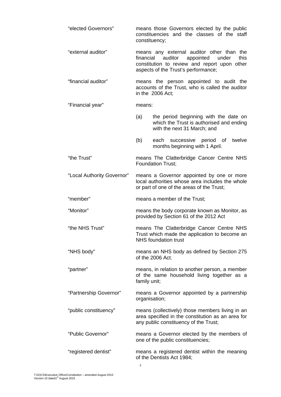| "elected Governors"        | constituency; | means those Governors elected by the public<br>constituencies and the classes of the staff                                                                                       |
|----------------------------|---------------|----------------------------------------------------------------------------------------------------------------------------------------------------------------------------------|
| "external auditor"         |               | means any external auditor other than the<br>financial auditor appointed<br>under<br>this<br>constitution to review and report upon other<br>aspects of the Trust's performance; |
| "financial auditor"        |               | means the person appointed to audit the<br>accounts of the Trust, who is called the auditor<br>in the 2006 Act;                                                                  |
| "Financial year"           | means:        |                                                                                                                                                                                  |
|                            | (a)           | the period beginning with the date on<br>which the Trust is authorised and ending<br>with the next 31 March; and                                                                 |
|                            | (b)           | each successive period of<br>twelve<br>months beginning with 1 April.                                                                                                            |
| "the Trust"                |               | means The Clatterbridge Cancer Centre NHS<br><b>Foundation Trust:</b>                                                                                                            |
| "Local Authority Governor" |               | means a Governor appointed by one or more<br>local authorities whose area includes the whole<br>or part of one of the areas of the Trust;                                        |
| "member"                   |               | means a member of the Trust;                                                                                                                                                     |
|                            |               |                                                                                                                                                                                  |
| "Monitor"                  |               | means the body corporate known as Monitor, as<br>provided by Section 61 of the 2012 Act                                                                                          |
| "the NHS Trust"            |               | means The Clatterbridge Cancer Centre NHS<br>Trust which made the application to become an<br><b>NHS</b> foundation trust                                                        |
| "NHS body"                 |               | means an NHS body as defined by Section 275<br>of the 2006 Act.                                                                                                                  |
| "partner"                  | family unit;  | means, in relation to another person, a member<br>of the same household living together as a                                                                                     |
| "Partnership Governor"     | organisation; | means a Governor appointed by a partnership                                                                                                                                      |
| "public constituency"      |               | means (collectively) those members living in an<br>area specified in the constitution as an area for<br>any public constituency of the Trust;                                    |
| "Public Governor"          |               | means a Governor elected by the members of<br>one of the public constituencies;                                                                                                  |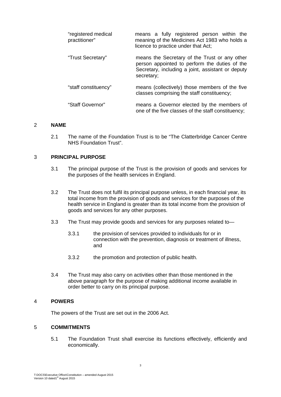| "registered medical<br>practitioner" | means a fully registered person within the<br>meaning of the Medicines Act 1983 who holds a<br>licence to practice under that Act;                                |
|--------------------------------------|-------------------------------------------------------------------------------------------------------------------------------------------------------------------|
| "Trust Secretary"                    | means the Secretary of the Trust or any other<br>person appointed to perform the duties of the<br>Secretary, including a joint, assistant or deputy<br>secretary; |
| "staff constituency"                 | means (collectively) those members of the five<br>classes comprising the staff constituency;                                                                      |
| "Staff Governor"                     | means a Governor elected by the members of<br>one of the five classes of the staff constituency;                                                                  |

#### 2 **NAME**

2.1 The name of the Foundation Trust is to be "The Clatterbridge Cancer Centre NHS Foundation Trust".

# 3 **PRINCIPAL PURPOSE**

- 3.1 The principal purpose of the Trust is the provision of goods and services for the purposes of the health services in England.
- 3.2 The Trust does not fulfil its principal purpose unless, in each financial year, its total income from the provision of goods and services for the purposes of the health service in England is greater than its total income from the provision of goods and services for any other purposes.
- 3.3 The Trust may provide goods and services for any purposes related to—
	- 3.3.1 the provision of services provided to individuals for or in connection with the prevention, diagnosis or treatment of illness, and
	- 3.3.2 the promotion and protection of public health.
- 3.4 The Trust may also carry on activities other than those mentioned in the above paragraph for the purpose of making additional income available in order better to carry on its principal purpose.

# 4 **POWERS**

The powers of the Trust are set out in the 2006 Act.

# 5 **COMMITMENTS**

5.1 The Foundation Trust shall exercise its functions effectively, efficiently and economically.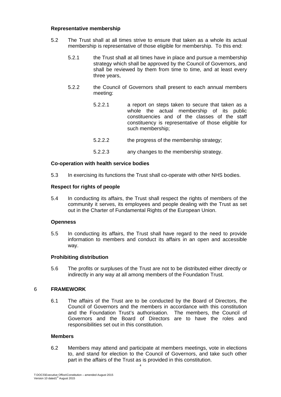# **Representative membership**

- 5.2 The Trust shall at all times strive to ensure that taken as a whole its actual membership is representative of those eligible for membership. To this end:
	- 5.2.1 the Trust shall at all times have in place and pursue a membership strategy which shall be approved by the Council of Governors, and shall be reviewed by them from time to time, and at least every three years,
	- 5.2.2 the Council of Governors shall present to each annual members meeting:
		- 5.2.2.1 a report on steps taken to secure that taken as a whole the actual membership of its public constituencies and of the classes of the staff constituency is representative of those eligible for such membership;
		- 5.2.2.2 the progress of the membership strategy;
		- 5.2.2.3 any changes to the membership strategy.

# **Co-operation with health service bodies**

5.3 In exercising its functions the Trust shall co-operate with other NHS bodies.

# **Respect for rights of people**

5.4 In conducting its affairs, the Trust shall respect the rights of members of the community it serves, its employees and people dealing with the Trust as set out in the Charter of Fundamental Rights of the European Union.

#### **Openness**

5.5 In conducting its affairs, the Trust shall have regard to the need to provide information to members and conduct its affairs in an open and accessible way.

#### **Prohibiting distribution**

5.6 The profits or surpluses of the Trust are not to be distributed either directly or indirectly in any way at all among members of the Foundation Trust.

# 6 **FRAMEWORK**

6.1 The affairs of the Trust are to be conducted by the Board of Directors, the Council of Governors and the members in accordance with this constitution and the Foundation Trust's authorisation. The members, the Council of Governors and the Board of Directors are to have the roles and responsibilities set out in this constitution.

#### **Members**

6.2 Members may attend and participate at members meetings, vote in elections to, and stand for election to the Council of Governors, and take such other part in the affairs of the Trust as is provided in this constitution.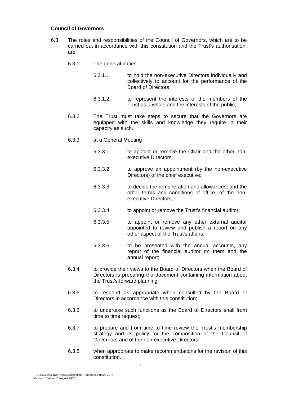# **Council of Governors**

- 6.3 The roles and responsibilities of the Council of Governors, which are to be carried out in accordance with this constitution and the Trust's authorisation, are:
	- 6.3.1 The general duties:
		- 6.3.1.1 to hold the non-executive Directors individually and collectively to account for the performance of the Board of Directors;
		- 6.3.1.2 to represent the interests of the members of the Trust as a whole and the interests of the public;
	- 6.3.2 The Trust must take steps to secure that the Governors are equipped with the skills and knowledge they require in their capacity as such.
	- 6.3.3 at a General Meeting
		- 6.3.3.1 to appoint or remove the Chair and the other nonexecutive Directors;
		- 6.3.3.2 to approve an appointment (by the non-executive Directors) of the chief executive;
		- 6.3.3.3 to decide the remuneration and allowances, and the other terms and conditions of office, of the nonexecutive Directors;
		- 6.3.3.4 to appoint or remove the Trust's financial auditor;
		- 6.3.3.5 to appoint or remove any other external auditor appointed to review and publish a report on any other aspect of the Trust's affairs;
		- 6.3.3.6 to be presented with the annual accounts, any report of the financial auditor on them and the annual report;
	- 6.3.4 to provide their views to the Board of Directors when the Board of Directors is preparing the document containing information about the Trust's forward planning;
	- 6.3.5 to respond as appropriate when consulted by the Board of Directors in accordance with this constitution;
	- 6.3.6 to undertake such functions as the Board of Directors shall from time to time request;
	- 6.3.7 to prepare and from time to time review the Trust's membership strategy and its policy for the composition of the Council of Governors and of the non-executive Directors;
	- 6.3.8 when appropriate to make recommendations for the revision of this constitution.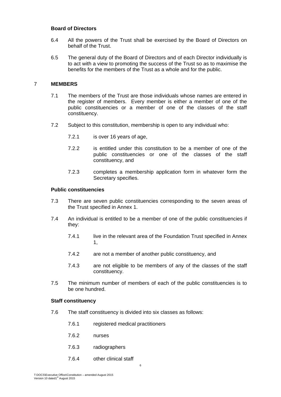# **Board of Directors**

- 6.4 All the powers of the Trust shall be exercised by the Board of Directors on behalf of the Trust.
- 6.5 The general duty of the Board of Directors and of each Director individually is to act with a view to promoting the success of the Trust so as to maximise the benefits for the members of the Trust as a whole and for the public.

# 7 **MEMBERS**

- 7.1 The members of the Trust are those individuals whose names are entered in the register of members. Every member is either a member of one of the public constituencies or a member of one of the classes of the staff constituency.
- 7.2 Subject to this constitution, membership is open to any individual who:
	- 7.2.1 is over 16 years of age,
	- 7.2.2 is entitled under this constitution to be a member of one of the public constituencies or one of the classes of the staff constituency, and
	- 7.2.3 completes a membership application form in whatever form the Secretary specifies.

#### **Public constituencies**

- 7.3 There are seven public constituencies corresponding to the seven areas of the Trust specified in Annex 1.
- 7.4 An individual is entitled to be a member of one of the public constituencies if they:
	- 7.4.1 live in the relevant area of the Foundation Trust specified in Annex 1,
	- 7.4.2 are not a member of another public constituency, and
	- 7.4.3 are not eligible to be members of any of the classes of the staff constituency.
- 7.5 The minimum number of members of each of the public constituencies is to be one hundred.

#### **Staff constituency**

- 7.6 The staff constituency is divided into six classes as follows:
	- 7.6.1 registered medical practitioners
	- 7.6.2 nurses
	- 7.6.3 radiographers
	- 7.6.4 other clinical staff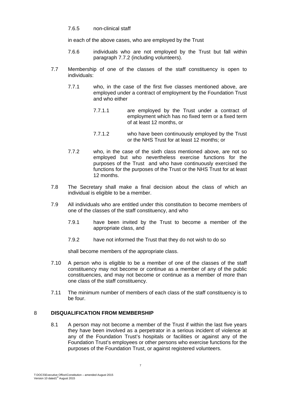#### 7.6.5 non-clinical staff

in each of the above cases, who are employed by the Trust

- 7.6.6 individuals who are not employed by the Trust but fall within paragraph 7.7.2 (including volunteers).
- 7.7 Membership of one of the classes of the staff constituency is open to individuals:
	- 7.7.1 who, in the case of the first five classes mentioned above, are employed under a contract of employment by the Foundation Trust and who either
		- 7.7.1.1 are employed by the Trust under a contract of employment which has no fixed term or a fixed term of at least 12 months, or
		- 7.7.1.2 who have been continuously employed by the Trust or the NHS Trust for at least 12 months; or
	- 7.7.2 who, in the case of the sixth class mentioned above, are not so employed but who nevertheless exercise functions for the purposes of the Trust and who have continuously exercised the functions for the purposes of the Trust or the NHS Trust for at least 12 months.
- 7.8 The Secretary shall make a final decision about the class of which an individual is eligible to be a member.
- 7.9 All individuals who are entitled under this constitution to become members of one of the classes of the staff constituency, and who
	- 7.9.1 have been invited by the Trust to become a member of the appropriate class, and
	- 7.9.2 have not informed the Trust that they do not wish to do so

shall become members of the appropriate class.

- 7.10 A person who is eligible to be a member of one of the classes of the staff constituency may not become or continue as a member of any of the public constituencies, and may not become or continue as a member of more than one class of the staff constituency.
- 7.11 The minimum number of members of each class of the staff constituency is to be four.

# 8 **DISQUALIFICATION FROM MEMBERSHIP**

8.1 A person may not become a member of the Trust if within the last five years they have been involved as a perpetrator in a serious incident of violence at any of the Foundation Trust's hospitals or facilities or against any of the Foundation Trust's employees or other persons who exercise functions for the purposes of the Foundation Trust, or against registered volunteers.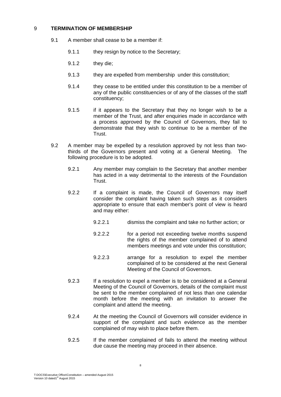# 9 **TERMINATION OF MEMBERSHIP**

- 9.1 A member shall cease to be a member if:
	- 9.1.1 they resign by notice to the Secretary:
	- 9.1.2 they die;
	- 9.1.3 they are expelled from membership under this constitution;
	- 9.1.4 they cease to be entitled under this constitution to be a member of any of the public constituencies or of any of the classes of the staff constituency;
	- 9.1.5 if it appears to the Secretary that they no longer wish to be a member of the Trust, and after enquiries made in accordance with a process approved by the Council of Governors, they fail to demonstrate that they wish to continue to be a member of the Trust.
- 9.2 A member may be expelled by a resolution approved by not less than twothirds of the Governors present and voting at a General Meeting. The following procedure is to be adopted.
	- 9.2.1 Any member may complain to the Secretary that another member has acted in a way detrimental to the interests of the Foundation Trust.
	- 9.2.2 If a complaint is made, the Council of Governors may itself consider the complaint having taken such steps as it considers appropriate to ensure that each member's point of view is heard and may either:
		- 9.2.2.1 dismiss the complaint and take no further action; or
		- 9.2.2.2 for a period not exceeding twelve months suspend the rights of the member complained of to attend members meetings and vote under this constitution;
		- 9.2.2.3 arrange for a resolution to expel the member complained of to be considered at the next General Meeting of the Council of Governors.
	- 9.2.3 If a resolution to expel a member is to be considered at a General Meeting of the Council of Governors, details of the complaint must be sent to the member complained of not less than one calendar month before the meeting with an invitation to answer the complaint and attend the meeting.
	- 9.2.4 At the meeting the Council of Governors will consider evidence in support of the complaint and such evidence as the member complained of may wish to place before them.
	- 9.2.5 If the member complained of fails to attend the meeting without due cause the meeting may proceed in their absence.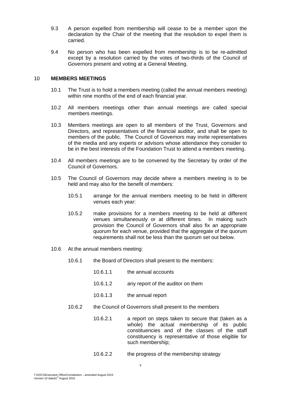- 9.3 A person expelled from membership will cease to be a member upon the declaration by the Chair of the meeting that the resolution to expel them is carried.
- 9.4 No person who has been expelled from membership is to be re-admitted except by a resolution carried by the votes of two-thirds of the Council of Governors present and voting at a General Meeting.

#### 10 **MEMBERS MEETINGS**

- 10.1 The Trust is to hold a members meeting (called the annual members meeting) within nine months of the end of each financial year.
- 10.2 All members meetings other than annual meetings are called special members meetings.
- 10.3 Members meetings are open to all members of the Trust, Governors and Directors, and representatives of the financial auditor, and shall be open to members of the public. The Council of Governors may invite representatives of the media and any experts or advisors whose attendance they consider to be in the best interests of the Foundation Trust to attend a members meeting.
- 10.4 All members meetings are to be convened by the Secretary by order of the Council of Governors.
- 10.5 The Council of Governors may decide where a members meeting is to be held and may also for the benefit of members:
	- 10.5.1 arrange for the annual members meeting to be held in different venues each year:
	- 10.5.2 make provisions for a members meeting to be held at different venues simultaneously or at different times. In making such provision the Council of Governors shall also fix an appropriate quorum for each venue, provided that the aggregate of the quorum requirements shall not be less than the quorum set out below.
- 10.6 At the annual members meeting:
	- 10.6.1 the Board of Directors shall present to the members:
		- 10.6.1.1 the annual accounts
		- 10.6.1.2 any report of the auditor on them
		- 10.6.1.3 the annual report
	- 10.6.2 the Council of Governors shall present to the members
		- 10.6.2.1 a report on steps taken to secure that (taken as a whole) the actual membership of its public constituencies and of the classes of the staff constituency is representative of those eligible for such membership;
		- 10.6.2.2 the progress of the membership strategy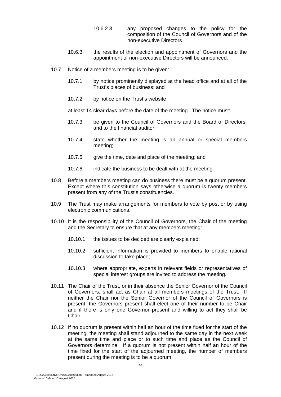- 10.6.2.3 any proposed changes to the policy for the composition of the Council of Governors and of the non-executive Directors
- 10.6.3 the results of the election and appointment of Governors and the appointment of non-executive Directors will be announced.
- 10.7 Notice of a members meeting is to be given:
	- 10.7.1 by notice prominently displayed at the head office and at all of the Trust's places of business; and
	- 10.7.2 by notice on the Trust's website

at least 14 clear days before the date of the meeting. The notice must:

- 10.7.3 be given to the Council of Governors and the Board of Directors, and to the financial auditor;
- 10.7.4 state whether the meeting is an annual or special members meeting;
- 10.7.5 give the time, date and place of the meeting; and
- 10.7.6 indicate the business to be dealt with at the meeting.
- 10.8 Before a members meeting can do business there must be a quorum present. Except where this constitution says otherwise a quorum is twenty members present from any of the Trust's constituencies.
- 10.9 The Trust may make arrangements for members to vote by post or by using electronic communications.
- 10.10 It is the responsibility of the Council of Governors, the Chair of the meeting and the Secretary to ensure that at any members meeting:
	- 10.10.1 the issues to be decided are clearly explained;
	- 10.10.2 sufficient information is provided to members to enable rational discussion to take place;
	- 10.10.3 where appropriate, experts in relevant fields or representatives of special interest groups are invited to address the meeting.
- 10.11 The Chair of the Trust, or in their absence the Senior Governor of the Council of Governors, shall act as Chair at all members meetings of the Trust. If neither the Chair nor the Senior Governor of the Council of Governors is present, the Governors present shall elect one of their number to be Chair and if there is only one Governor present and willing to act they shall be Chair.
- 10.12 If no quorum is present within half an hour of the time fixed for the start of the meeting, the meeting shall stand adjourned to the same day in the next week at the same time and place or to such time and place as the Council of Governors determine. If a quorum is not present within half an hour of the time fixed for the start of the adjourned meeting, the number of members present during the meeting is to be a quorum.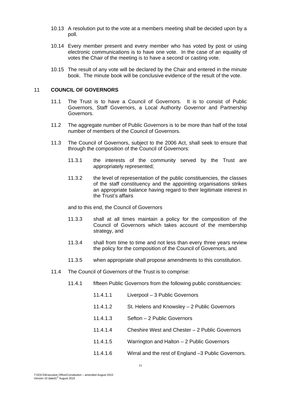- 10.13 A resolution put to the vote at a members meeting shall be decided upon by a poll.
- 10.14 Every member present and every member who has voted by post or using electronic communications is to have one vote. In the case of an equality of votes the Chair of the meeting is to have a second or casting vote.
- 10.15 The result of any vote will be declared by the Chair and entered in the minute book. The minute book will be conclusive evidence of the result of the vote.

# 11 **COUNCIL OF GOVERNORS**

- 11.1 The Trust is to have a Council of Governors. It is to consist of Public Governors, Staff Governors, a Local Authority Governor and Partnership Governors.
- 11.2 The aggregate number of Public Governors is to be more than half of the total number of members of the Council of Governors.
- 11.3 The Council of Governors, subject to the 2006 Act, shall seek to ensure that through the composition of the Council of Governors:
	- 11.3.1 the interests of the community served by the Trust are appropriately represented;
	- 11.3.2 the level of representation of the public constituencies, the classes of the staff constituency and the appointing organisations strikes an appropriate balance having regard to their legitimate interest in the Trust's affairs

and to this end, the Council of Governors

- 11.3.3 shall at all times maintain a policy for the composition of the Council of Governors which takes account of the membership strategy, and
- 11.3.4 shall from time to time and not less than every three years review the policy for the composition of the Council of Governors, and
- 11.3.5 when appropriate shall propose amendments to this constitution.
- 11.4 The Council of Governors of the Trust is to comprise:
	- 11.4.1 fifteen Public Governors from the following public constituencies:
		- 11.4.1.1 Liverpool 3 Public Governors
		- 11.4.1.2 St. Helens and Knowsley 2 Public Governors
		- 11.4.1.3 Sefton 2 Public Governors
		- 11.4.1.4 Cheshire West and Chester 2 Public Governors
		- 11.4.1.5 Warrington and Halton 2 Public Governors
		- 11.4.1.6 Wirral and the rest of England –3 Public Governors.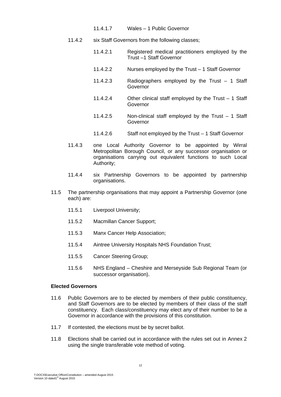- 11.4.1.7 Wales 1 Public Governor
- 11.4.2 six Staff Governors from the following classes;
	- 11.4.2.1 Registered medical practitioners employed by the Trust –1 Staff Governor
	- 11.4.2.2 Nurses employed by the Trust 1 Staff Governor
	- 11.4.2.3 Radiographers employed by the Trust 1 Staff Governor
	- 11.4.2.4 Other clinical staff employed by the Trust 1 Staff Governor
	- 11.4.2.5 Non-clinical staff employed by the Trust 1 Staff Governor
	- 11.4.2.6 Staff not employed by the Trust 1 Staff Governor
- 11.4.3 one Local Authority Governor to be appointed by Wirral Metropolitan Borough Council, or any successor organisation or organisations carrying out equivalent functions to such Local Authority;
- 11.4.4 six Partnership Governors to be appointed by partnership organisations.
- 11.5 The partnership organisations that may appoint a Partnership Governor (one each) are:
	- 11.5.1 Liverpool University;
	- 11.5.2 Macmillan Cancer Support;
	- 11.5.3 Manx Cancer Help Association;
	- 11.5.4 Aintree University Hospitals NHS Foundation Trust;
	- 11.5.5 Cancer Steering Group;
	- 11.5.6 NHS England Cheshire and Merseyside Sub Regional Team (or successor organisation).

# **Elected Governors**

- 11.6 Public Governors are to be elected by members of their public constituency, and Staff Governors are to be elected by members of their class of the staff constituency. Each class/constituency may elect any of their number to be a Governor in accordance with the provisions of this constitution.
- 11.7 If contested, the elections must be by secret ballot.
- 11.8 Elections shall be carried out in accordance with the rules set out in Annex 2 using the single transferable vote method of voting.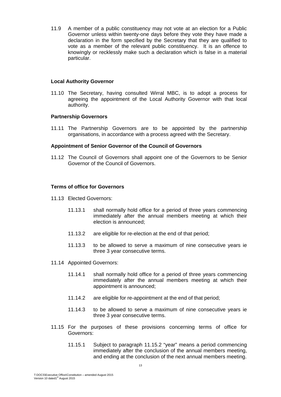11.9 A member of a public constituency may not vote at an election for a Public Governor unless within twenty-one days before they vote they have made a declaration in the form specified by the Secretary that they are qualified to vote as a member of the relevant public constituency. It is an offence to knowingly or recklessly make such a declaration which is false in a material particular.

#### **Local Authority Governor**

11.10 The Secretary, having consulted Wirral MBC, is to adopt a process for agreeing the appointment of the Local Authority Governor with that local authority.

#### **Partnership Governors**

11.11 The Partnership Governors are to be appointed by the partnership organisations, in accordance with a process agreed with the Secretary.

#### **Appointment of Senior Governor of the Council of Governors**

11.12 The Council of Governors shall appoint one of the Governors to be Senior Governor of the Council of Governors.

#### **Terms of office for Governors**

- 11.13 Elected Governors:
	- 11.13.1 shall normally hold office for a period of three years commencing immediately after the annual members meeting at which their election is announced;
	- 11.13.2 are eligible for re-election at the end of that period;
	- 11.13.3 to be allowed to serve a maximum of nine consecutive years ie three 3 year consecutive terms.
- 11.14 Appointed Governors:
	- 11.14.1 shall normally hold office for a period of three years commencing immediately after the annual members meeting at which their appointment is announced;
	- 11.14.2 are eligible for re-appointment at the end of that period;
	- 11.14.3 to be allowed to serve a maximum of nine consecutive years ie three 3 year consecutive terms.
- 11.15 For the purposes of these provisions concerning terms of office for Governors:
	- 11.15.1 Subject to paragraph 11.15.2 "year" means a period commencing immediately after the conclusion of the annual members meeting, and ending at the conclusion of the next annual members meeting.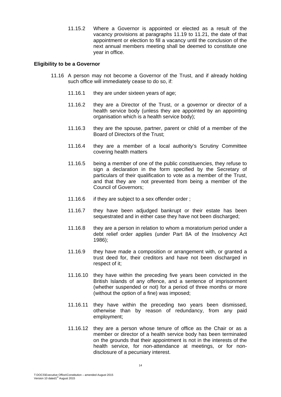11.15.2 Where a Governor is appointed or elected as a result of the vacancy provisions at paragraphs 11.19 to 11.21, the date of that appointment or election to fill a vacancy until the conclusion of the next annual members meeting shall be deemed to constitute one year in office.

#### **Eligibility to be a Governor**

- 11.16 A person may not become a Governor of the Trust, and if already holding such office will immediately cease to do so, if:
	- 11.16.1 they are under sixteen years of age;
	- 11.16.2 they are a Director of the Trust, or a governor or director of a health service body (unless they are appointed by an appointing organisation which is a health service body);
	- 11.16.3 they are the spouse, partner, parent or child of a member of the Board of Directors of the Trust;
	- 11.16.4 they are a member of a local authority's Scrutiny Committee covering health matters
	- 11.16.5 being a member of one of the public constituencies, they refuse to sign a declaration in the form specified by the Secretary of particulars of their qualification to vote as a member of the Trust, and that they are not prevented from being a member of the Council of Governors;
	- 11.16.6 if they are subject to a sex offender order ;
	- 11.16.7 they have been adjudged bankrupt or their estate has been sequestrated and in either case they have not been discharged;
	- 11.16.8 they are a person in relation to whom a moratorium period under a debt relief order applies (under Part 8A of the Insolvency Act 1986);
	- 11.16.9 they have made a composition or arrangement with, or granted a trust deed for, their creditors and have not been discharged in respect of it;
	- 11.16.10 they have within the preceding five years been convicted in the British Islands of any offence, and a sentence of imprisonment (whether suspended or not) for a period of three months or more (without the option of a fine) was imposed;
	- 11.16.11 they have within the preceding two years been dismissed, otherwise than by reason of redundancy, from any paid employment;
	- 11.16.12 they are a person whose tenure of office as the Chair or as a member or director of a health service body has been terminated on the grounds that their appointment is not in the interests of the health service, for non-attendance at meetings, or for nondisclosure of a pecuniary interest.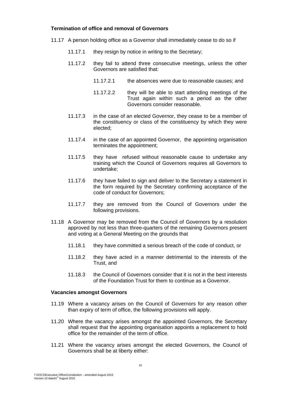# **Termination of office and removal of Governors**

- 11.17 A person holding office as a Governor shall immediately cease to do so if
	- 11.17.1 they resign by notice in writing to the Secretary:
	- 11.17.2 they fail to attend three consecutive meetings, unless the other Governors are satisfied that:
		- 11.17.2.1 the absences were due to reasonable causes; and
		- 11.17.2.2 they will be able to start attending meetings of the Trust again within such a period as the other Governors consider reasonable.
	- 11.17.3 in the case of an elected Governor, they cease to be a member of the constituency or class of the constituency by which they were elected;
	- 11.17.4 in the case of an appointed Governor, the appointing organisation terminates the appointment;
	- 11.17.5 they have refused without reasonable cause to undertake any training which the Council of Governors requires all Governors to undertake;
	- 11.17.6 they have failed to sign and deliver to the Secretary a statement in the form required by the Secretary confirming acceptance of the code of conduct for Governors;
	- 11.17.7 they are removed from the Council of Governors under the following provisions.
- 11.18 A Governor may be removed from the Council of Governors by a resolution approved by not less than three-quarters of the remaining Governors present and voting at a General Meeting on the grounds that
	- 11.18.1 they have committed a serious breach of the code of conduct, or
	- 11.18.2 they have acted in a manner detrimental to the interests of the Trust, and
	- 11.18.3 the Council of Governors consider that it is not in the best interests of the Foundation Trust for them to continue as a Governor.

#### **Vacancies amongst Governors**

- 11.19 Where a vacancy arises on the Council of Governors for any reason other than expiry of term of office, the following provisions will apply.
- 11.20 Where the vacancy arises amongst the appointed Governors, the Secretary shall request that the appointing organisation appoints a replacement to hold office for the remainder of the term of office.
- 11.21 Where the vacancy arises amongst the elected Governors, the Council of Governors shall be at liberty either: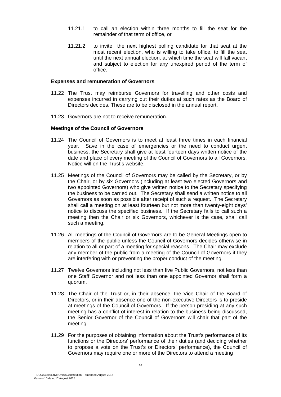- 11.21.1 to call an election within three months to fill the seat for the remainder of that term of office, or
- 11.21.2 to invite the next highest polling candidate for that seat at the most recent election, who is willing to take office, to fill the seat until the next annual election, at which time the seat will fall vacant and subject to election for any unexpired period of the term of office.

#### **Expenses and remuneration of Governors**

- 11.22 The Trust may reimburse Governors for travelling and other costs and expenses incurred in carrying out their duties at such rates as the Board of Directors decides. These are to be disclosed in the annual report.
- 11.23 Governors are not to receive remuneration.

#### **Meetings of the Council of Governors**

- 11.24 The Council of Governors is to meet at least three times in each financial year. Save in the case of emergencies or the need to conduct urgent business, the Secretary shall give at least fourteen days written notice of the date and place of every meeting of the Council of Governors to all Governors. Notice will on the Trust's website.
- 11.25 Meetings of the Council of Governors may be called by the Secretary, or by the Chair, or by six Governors (including at least two elected Governors and two appointed Governors) who give written notice to the Secretary specifying the business to be carried out. The Secretary shall send a written notice to all Governors as soon as possible after receipt of such a request. The Secretary shall call a meeting on at least fourteen but not more than twenty-eight days' notice to discuss the specified business. If the Secretary fails to call such a meeting then the Chair or six Governors, whichever is the case, shall call such a meeting.
- 11.26 All meetings of the Council of Governors are to be General Meetings open to members of the public unless the Council of Governors decides otherwise in relation to all or part of a meeting for special reasons. The Chair may exclude any member of the public from a meeting of the Council of Governors if they are interfering with or preventing the proper conduct of the meeting.
- 11.27 Twelve Governors including not less than five Public Governors, not less than one Staff Governor and not less than one appointed Governor shall form a quorum.
- 11.28 The Chair of the Trust or, in their absence, the Vice Chair of the Board of Directors, or in their absence one of the non-executive Directors is to preside at meetings of the Council of Governors. If the person presiding at any such meeting has a conflict of interest in relation to the business being discussed, the Senior Governor of the Council of Governors will chair that part of the meeting.
- 11.29 For the purposes of obtaining information about the Trust's performance of its functions or the Directors' performance of their duties (and deciding whether to propose a vote on the Trust's or Directors' performance), the Council of Governors may require one or more of the Directors to attend a meeting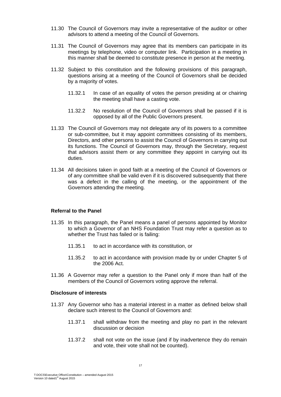- 11.30 The Council of Governors may invite a representative of the auditor or other advisors to attend a meeting of the Council of Governors.
- 11.31 The Council of Governors may agree that its members can participate in its meetings by telephone, video or computer link. Participation in a meeting in this manner shall be deemed to constitute presence in person at the meeting.
- 11.32 Subject to this constitution and the following provisions of this paragraph, questions arising at a meeting of the Council of Governors shall be decided by a majority of votes.
	- 11.32.1 In case of an equality of votes the person presiding at or chairing the meeting shall have a casting vote.
	- 11.32.2 No resolution of the Council of Governors shall be passed if it is opposed by all of the Public Governors present.
- 11.33 The Council of Governors may not delegate any of its powers to a committee or sub-committee, but it may appoint committees consisting of its members, Directors, and other persons to assist the Council of Governors in carrying out its functions. The Council of Governors may, through the Secretary, request that advisors assist them or any committee they appoint in carrying out its duties.
- 11.34 All decisions taken in good faith at a meeting of the Council of Governors or of any committee shall be valid even if it is discovered subsequently that there was a defect in the calling of the meeting, or the appointment of the Governors attending the meeting.

## **Referral to the Panel**

- 11.35 In this paragraph, the Panel means a panel of persons appointed by Monitor to which a Governor of an NHS Foundation Trust may refer a question as to whether the Trust has failed or is failing:
	- 11.35.1 to act in accordance with its constitution, or
	- 11.35.2 to act in accordance with provision made by or under Chapter 5 of the 2006 Act.
- 11.36 A Governor may refer a question to the Panel only if more than half of the members of the Council of Governors voting approve the referral.

# **Disclosure of interests**

- 11.37 Any Governor who has a material interest in a matter as defined below shall declare such interest to the Council of Governors and:
	- 11.37.1 shall withdraw from the meeting and play no part in the relevant discussion or decision
	- 11.37.2 shall not vote on the issue (and if by inadvertence they do remain and vote, their vote shall not be counted).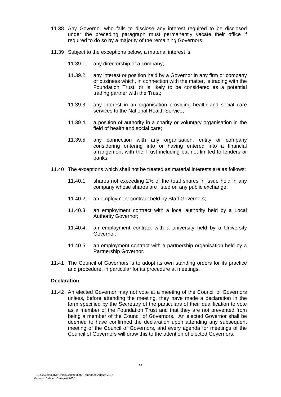- 11.38 Any Governor who fails to disclose any interest required to be disclosed under the preceding paragraph must permanently vacate their office if required to do so by a majority of the remaining Governors.
- 11.39 Subject to the exceptions below, a material interest is
	- 11.39.1 any directorship of a company;
	- 11.39.2 any interest or position held by a Governor in any firm or company or business which, in connection with the matter, is trading with the Foundation Trust, or is likely to be considered as a potential trading partner with the Trust;
	- 11.39.3 any interest in an organisation providing health and social care services to the National Health Service;
	- 11.39.4 a position of authority in a charity or voluntary organisation in the field of health and social care;
	- 11.39.5 any connection with any organisation, entity or company considering entering into or having entered into a financial arrangement with the Trust including but not limited to lenders or banks.
- 11.40 The exceptions which shall not be treated as material interests are as follows:
	- 11.40.1 shares not exceeding 2% of the total shares in issue held in any company whose shares are listed on any public exchange;
	- 11.40.2 an employment contract held by Staff Governors;
	- 11.40.3 an employment contract with a local authority held by a Local Authority Governor;
	- 11.40.4 an employment contract with a university held by a University Governor;
	- 11.40.5 an employment contract with a partnership organisation held by a Partnership Governor.
- 11.41 The Council of Governors is to adopt its own standing orders for its practice and procedure, in particular for its procedure at meetings.

#### **Declaration**

11.42 An elected Governor may not vote at a meeting of the Council of Governors unless, before attending the meeting, they have made a declaration in the form specified by the Secretary of the particulars of their qualification to vote as a member of the Foundation Trust and that they are not prevented from being a member of the Council of Governors. An elected Governor shall be deemed to have confirmed the declaration upon attending any subsequent meeting of the Council of Governors, and every agenda for meetings of the Council of Governors will draw this to the attention of elected Governors.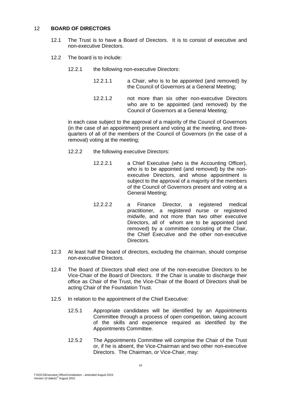# 12 **BOARD OF DIRECTORS**

- 12.1 The Trust is to have a Board of Directors. It is to consist of executive and non-executive Directors.
- 12.2 The board is to include:
	- 12.2.1 the following non-executive Directors:
		- 12.2.1.1 a Chair, who is to be appointed (and removed) by the Council of Governors at a General Meeting;
		- 12.2.1.2 not more than six other non-executive Directors who are to be appointed (and removed) by the Council of Governors at a General Meeting;

in each case subject to the approval of a majority of the Council of Governors (in the case of an appointment) present and voting at the meeting, and threequarters of all of the members of the Council of Governors (in the case of a removal) voting at the meeting;

- 12.2.2 the following executive Directors:
	- 12.2.2.1 a Chief Executive (who is the Accounting Officer), who is to be appointed (and removed) by the nonexecutive Directors, and whose appointment is subject to the approval of a majority of the members of the Council of Governors present and voting at a General Meeting;
	- 12.2.2.2 a Finance Director, a registered medical practitioner, a registered nurse or registered midwife, and not more than two other executive Directors, all of whom are to be appointed (and removed) by a committee consisting of the Chair, the Chief Executive and the other non-executive Directors.
- 12.3 At least half the board of directors, excluding the chairman, should comprise non-executive Directors.
- 12.4 The Board of Directors shall elect one of the non-executive Directors to be Vice-Chair of the Board of Directors. If the Chair is unable to discharge their office as Chair of the Trust, the Vice-Chair of the Board of Directors shall be acting Chair of the Foundation Trust.
- 12.5 In relation to the appointment of the Chief Executive:
	- 12.5.1 Appropriate candidates will be identified by an Appointments Committee through a process of open competition, taking account of the skills and experience required as identified by the Appointments Committee.
	- 12.5.2 The Appointments Committee will comprise the Chair of the Trust or, if he is absent, the Vice-Chairman and two other non-executive Directors. The Chairman, or Vice-Chair, may: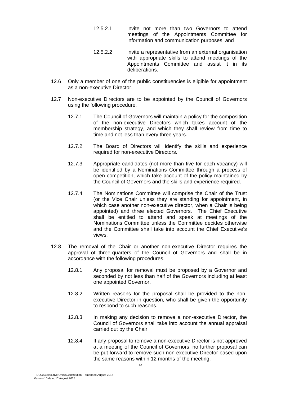- 12.5.2.1 invite not more than two Governors to attend meetings of the Appointments Committee for information and communication purposes; and
- 12.5.2.2 invite a representative from an external organisation with appropriate skills to attend meetings of the Appointments Committee and assist it in its deliberations.
- 12.6 Only a member of one of the public constituencies is eligible for appointment as a non-executive Director.
- 12.7 Non-executive Directors are to be appointed by the Council of Governors using the following procedure.
	- 12.7.1 The Council of Governors will maintain a policy for the composition of the non-executive Directors which takes account of the membership strategy, and which they shall review from time to time and not less than every three years.
	- 12.7.2 The Board of Directors will identify the skills and experience required for non-executive Directors.
	- 12.7.3 Appropriate candidates (not more than five for each vacancy) will be identified by a Nominations Committee through a process of open competition, which take account of the policy maintained by the Council of Governors and the skills and experience required.
	- 12.7.4 The Nominations Committee will comprise the Chair of the Trust (or the Vice Chair unless they are standing for appointment, in which case another non-executive director, when a Chair is being appointed) and three elected Governors. The Chief Executive shall be entitled to attend and speak at meetings of the Nominations Committee unless the Committee decides otherwise and the Committee shall take into account the Chief Executive's views.
- 12.8 The removal of the Chair or another non-executive Director requires the approval of three-quarters of the Council of Governors and shall be in accordance with the following procedures.
	- 12.8.1 Any proposal for removal must be proposed by a Governor and seconded by not less than half of the Governors including at least one appointed Governor.
	- 12.8.2 Written reasons for the proposal shall be provided to the nonexecutive Director in question, who shall be given the opportunity to respond to such reasons.
	- 12.8.3 In making any decision to remove a non-executive Director, the Council of Governors shall take into account the annual appraisal carried out by the Chair.
	- 12.8.4 If any proposal to remove a non-executive Director is not approved at a meeting of the Council of Governors, no further proposal can be put forward to remove such non-executive Director based upon the same reasons within 12 months of the meeting.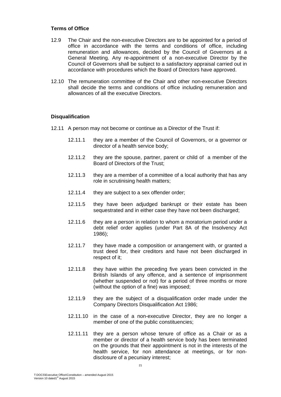#### **Terms of Office**

- 12.9 The Chair and the non-executive Directors are to be appointed for a period of office in accordance with the terms and conditions of office, including remuneration and allowances, decided by the Council of Governors at a General Meeting. Any re-appointment of a non-executive Director by the Council of Governors shall be subject to a satisfactory appraisal carried out in accordance with procedures which the Board of Directors have approved.
- 12.10 The remuneration committee of the Chair and other non-executive Directors shall decide the terms and conditions of office including remuneration and allowances of all the executive Directors.

#### **Disqualification**

- 12.11 A person may not become or continue as a Director of the Trust if:
	- 12.11.1 they are a member of the Council of Governors, or a governor or director of a health service body;
	- 12.11.2 they are the spouse, partner, parent or child of a member of the Board of Directors of the Trust;
	- 12.11.3 they are a member of a committee of a local authority that has any role in scrutinising health matters;
	- 12.11.4 they are subject to a sex offender order;
	- 12.11.5 they have been adjudged bankrupt or their estate has been sequestrated and in either case they have not been discharged;
	- 12.11.6 they are a person in relation to whom a moratorium period under a debt relief order applies (under Part 8A of the Insolvency Act 1986);
	- 12.11.7 they have made a composition or arrangement with, or granted a trust deed for, their creditors and have not been discharged in respect of it;
	- 12.11.8 they have within the preceding five years been convicted in the British Islands of any offence, and a sentence of imprisonment (whether suspended or not) for a period of three months or more (without the option of a fine) was imposed;
	- 12.11.9 they are the subject of a disqualification order made under the Company Directors Disqualification Act 1986;
	- 12.11.10 in the case of a non-executive Director, they are no longer a member of one of the public constituencies;
	- 12.11.11 they are a person whose tenure of office as a Chair or as a member or director of a health service body has been terminated on the grounds that their appointment is not in the interests of the health service, for non attendance at meetings, or for nondisclosure of a pecuniary interest;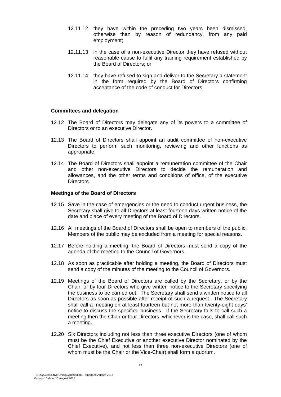- 12.11.12 they have within the preceding two years been dismissed, otherwise than by reason of redundancy, from any paid employment;
- 12.11.13 in the case of a non-executive Director they have refused without reasonable cause to fulfil any training requirement established by the Board of Directors; or
- 12.11.14 they have refused to sign and deliver to the Secretary a statement in the form required by the Board of Directors confirming acceptance of the code of conduct for Directors.

#### **Committees and delegation**

- 12.12 The Board of Directors may delegate any of its powers to a committee of Directors or to an executive Director.
- 12.13 The Board of Directors shall appoint an audit committee of non-executive Directors to perform such monitoring, reviewing and other functions as appropriate.
- 12.14 The Board of Directors shall appoint a remuneration committee of the Chair and other non-executive Directors to decide the remuneration and allowances, and the other terms and conditions of office, of the executive Directors.

#### **Meetings of the Board of Directors**

- 12.15 Save in the case of emergencies or the need to conduct urgent business, the Secretary shall give to all Directors at least fourteen days written notice of the date and place of every meeting of the Board of Directors.
- 12.16 All meetings of the Board of Directors shall be open to members of the public. Members of the public may be excluded from a meeting for special reasons.
- 12.17 Before holding a meeting, the Board of Directors must send a copy of the agenda of the meeting to the Council of Governors.
- 12.18 As soon as practicable after holding a meeting, the Board of Directors must send a copy of the minutes of the meeting to the Council of Governors.
- 12.19 Meetings of the Board of Directors are called by the Secretary, or by the Chair, or by four Directors who give written notice to the Secretary specifying the business to be carried out. The Secretary shall send a written notice to all Directors as soon as possible after receipt of such a request. The Secretary shall call a meeting on at least fourteen but not more than twenty-eight days' notice to discuss the specified business. If the Secretary fails to call such a meeting then the Chair or four Directors, whichever is the case, shall call such a meeting.
- 12.20 Six Directors including not less than three executive Directors (one of whom must be the Chief Executive or another executive Director nominated by the Chief Executive), and not less than three non-executive Directors (one of whom must be the Chair or the Vice-Chair) shall form a quorum.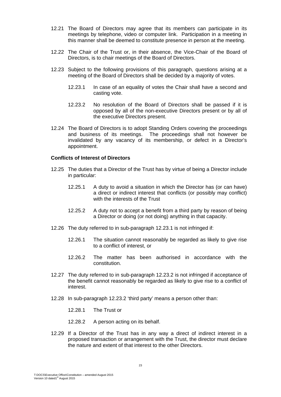- 12.21 The Board of Directors may agree that its members can participate in its meetings by telephone, video or computer link. Participation in a meeting in this manner shall be deemed to constitute presence in person at the meeting.
- 12.22 The Chair of the Trust or, in their absence, the Vice-Chair of the Board of Directors, is to chair meetings of the Board of Directors.
- 12.23 Subject to the following provisions of this paragraph, questions arising at a meeting of the Board of Directors shall be decided by a majority of votes.
	- 12.23.1 In case of an equality of votes the Chair shall have a second and casting vote.
	- 12.23.2 No resolution of the Board of Directors shall be passed if it is opposed by all of the non-executive Directors present or by all of the executive Directors present.
- 12.24 The Board of Directors is to adopt Standing Orders covering the proceedings and business of its meetings. The proceedings shall not however be invalidated by any vacancy of its membership, or defect in a Director's appointment.

# **Conflicts of Interest of Directors**

- 12.25 The duties that a Director of the Trust has by virtue of being a Director include in particular:
	- 12.25.1 A duty to avoid a situation in which the Director has (or can have) a direct or indirect interest that conflicts (or possibly may conflict) with the interests of the Trust
	- 12.25.2 A duty not to accept a benefit from a third party by reason of being a Director or doing (or not doing) anything in that capacity.
- 12.26 The duty referred to in sub-paragraph 12.23.1 is not infringed if:
	- 12.26.1 The situation cannot reasonably be regarded as likely to give rise to a conflict of interest, or
	- 12.26.2 The matter has been authorised in accordance with the constitution.
- 12.27 The duty referred to in sub-paragraph 12.23.2 is not infringed if acceptance of the benefit cannot reasonably be regarded as likely to give rise to a conflict of interest.
- 12.28 In sub-paragraph 12.23.2 'third party' means a person other than:
	- 12.28.1 The Trust or
	- 12.28.2 A person acting on its behalf.
- 12.29 If a Director of the Trust has in any way a direct of indirect interest in a proposed transaction or arrangement with the Trust, the director must declare the nature and extent of that interest to the other Directors.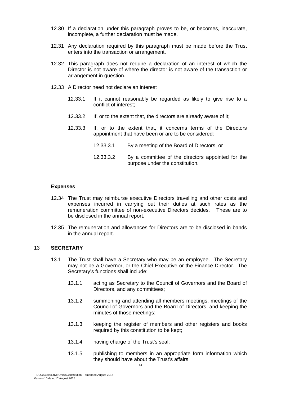- 12.30 If a declaration under this paragraph proves to be, or becomes, inaccurate, incomplete, a further declaration must be made.
- 12.31 Any declaration required by this paragraph must be made before the Trust enters into the transaction or arrangement.
- 12.32 This paragraph does not require a declaration of an interest of which the Director is not aware of where the director is not aware of the transaction or arrangement in question.
- 12.33 A Director need not declare an interest
	- 12.33.1 If it cannot reasonably be regarded as likely to give rise to a conflict of interest;
	- 12.33.2 If, or to the extent that, the directors are already aware of it;
	- 12.33.3 If, or to the extent that, it concerns terms of the Directors appointment that have been or are to be considered:
		- 12.33.3.1 By a meeting of the Board of Directors, or
		- 12.33.3.2 By a committee of the directors appointed for the purpose under the constitution.

#### **Expenses**

- 12.34 The Trust may reimburse executive Directors travelling and other costs and expenses incurred in carrying out their duties at such rates as the remuneration committee of non-executive Directors decides. These are to be disclosed in the annual report.
- 12.35 The remuneration and allowances for Directors are to be disclosed in bands in the annual report.

#### 13 **SECRETARY**

- 13.1 The Trust shall have a Secretary who may be an employee. The Secretary may not be a Governor, or the Chief Executive or the Finance Director. The Secretary's functions shall include:
	- 13.1.1 acting as Secretary to the Council of Governors and the Board of Directors, and any committees;
	- 13.1.2 summoning and attending all members meetings, meetings of the Council of Governors and the Board of Directors, and keeping the minutes of those meetings;
	- 13.1.3 keeping the register of members and other registers and books required by this constitution to be kept;
	- 13.1.4 having charge of the Trust's seal;
	- 13.1.5 publishing to members in an appropriate form information which they should have about the Trust's affairs;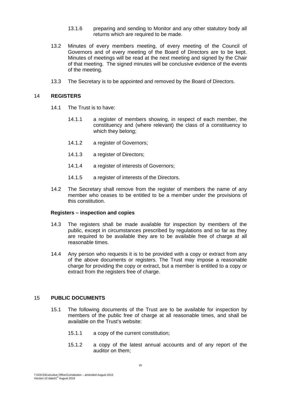- 13.1.6 preparing and sending to Monitor and any other statutory body all returns which are required to be made.
- 13.2 Minutes of every members meeting, of every meeting of the Council of Governors and of every meeting of the Board of Directors are to be kept. Minutes of meetings will be read at the next meeting and signed by the Chair of that meeting. The signed minutes will be conclusive evidence of the events of the meeting.
- 13.3 The Secretary is to be appointed and removed by the Board of Directors.

#### 14 **REGISTERS**

- 14.1 The Trust is to have:
	- 14.1.1 a register of members showing, in respect of each member, the constituency and (where relevant) the class of a constituency to which they belong;
	- 14.1.2 a register of Governors;
	- 14.1.3 a register of Directors;
	- 14.1.4 a register of interests of Governors;
	- 14.1.5 a register of interests of the Directors.
- 14.2 The Secretary shall remove from the register of members the name of any member who ceases to be entitled to be a member under the provisions of this constitution.

#### **Registers – inspection and copies**

- 14.3 The registers shall be made available for inspection by members of the public, except in circumstances prescribed by regulations and so far as they are required to be available they are to be available free of charge at all reasonable times.
- 14.4 Any person who requests it is to be provided with a copy or extract from any of the above documents or registers. The Trust may impose a reasonable charge for providing the copy or extract, but a member is entitled to a copy or extract from the registers free of charge.

# 15 **PUBLIC DOCUMENTS**

- 15.1 The following documents of the Trust are to be available for inspection by members of the public free of charge at all reasonable times, and shall be available on the Trust's website:
	- 15.1.1 a copy of the current constitution;
	- 15.1.2 a copy of the latest annual accounts and of any report of the auditor on them;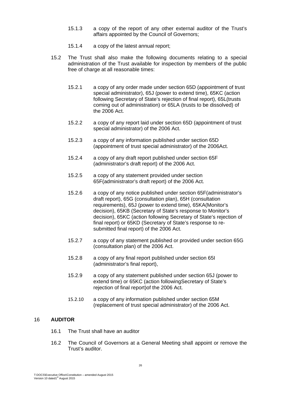- 15.1.3 a copy of the report of any other external auditor of the Trust's affairs appointed by the Council of Governors;
- 15.1.4 a copy of the latest annual report;
- 15.2 The Trust shall also make the following documents relating to a special administration of the Trust available for inspection by members of the public free of charge at all reasonable times:
	- 15.2.1 a copy of any order made under section 65D (appointment of trust special administrator), 65J (power to extend time), 65KC (action following Secretary of State's rejection of final report), 65L(trusts coming out of administration) or 65LA (trusts to be dissolved) of the 2006 Act.
	- 15.2.2 a copy of any report laid under section 65D (appointment of trust special administrator) of the 2006 Act.
	- 15.2.3 a copy of any information published under section 65D (appointment of trust special administrator) of the 2006Act.
	- 15.2.4 a copy of any draft report published under section 65F (administrator's draft report) of the 2006 Act.
	- 15.2.5 a copy of any statement provided under section 65F(administrator's draft report) of the 2006 Act.
	- 15.2.6 a copy of any notice published under section 65F(administrator's draft report), 65G (consultation plan), 65H (consultation requirements), 65J (power to extend time), 65KA(Monitor's decision), 65KB (Secretary of State's response to Monitor's decision), 65KC (action following Secretary of State's rejection of final report) or 65KD (Secretary of State's response to resubmitted final report) of the 2006 Act.
	- 15.2.7 a copy of any statement published or provided under section 65G (consultation plan) of the 2006 Act.
	- 15.2.8 a copy of any final report published under section 65I (administrator's final report),
	- 15.2.9 a copy of any statement published under section 65J (power to extend time) or 65KC (action followingSecretary of State's rejection of final report)of the 2006 Act.
	- 15.2.10 a copy of any information published under section 65M (replacement of trust special administrator) of the 2006 Act.

# 16 **AUDITOR**

- 16.1 The Trust shall have an auditor
- 16.2 The Council of Governors at a General Meeting shall appoint or remove the Trust's auditor.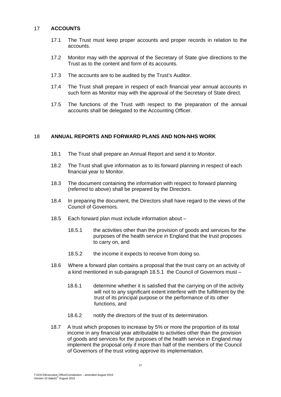# 17 **ACCOUNTS**

- 17.1 The Trust must keep proper accounts and proper records in relation to the accounts.
- 17.2 Monitor may with the approval of the Secretary of State give directions to the Trust as to the content and form of its accounts.
- 17.3 The accounts are to be audited by the Trust's Auditor.
- 17.4 The Trust shall prepare in respect of each financial year annual accounts in such form as Monitor may with the approval of the Secretary of State direct.
- 17.5 The functions of the Trust with respect to the preparation of the annual accounts shall be delegated to the Accounting Officer.

# 18 **ANNUAL REPORTS AND FORWARD PLANS AND NON-NHS WORK**

- 18.1 The Trust shall prepare an Annual Report and send it to Monitor.
- 18.2 The Trust shall give information as to its forward planning in respect of each financial year to Monitor.
- 18.3 The document containing the information with respect to forward planning (referred to above) shall be prepared by the Directors.
- 18.4 In preparing the document, the Directors shall have regard to the views of the Council of Governors.
- 18.5 Each forward plan must include information about
	- 18.5.1 the activities other than the provision of goods and services for the purposes of the health service in England that the trust proposes to carry on, and
	- 18.5.2 the income it expects to receive from doing so.
- 18.6 Where a forward plan contains a proposal that the trust carry on an activity of a kind mentioned in sub-paragraph 18.5.1 the Council of Governors must –
	- 18.6.1 determine whether it is satisfied that the carrying on of the activity will not to any significant extent interfere with the fulfillment by the trust of its principal purpose or the performance of its other functions, and
	- 18.6.2 notify the directors of the trust of its determination.
- 18.7 A trust which proposes to increase by 5% or more the proportion of its total income in any financial year attributable to activities other than the provision of goods and services for the purposes of the health service in England may implement the proposal only if more than half of the members of the Council of Governors of the trust voting approve its implementation.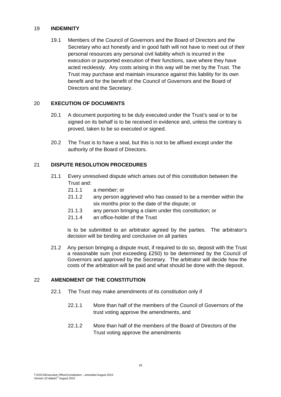# 19 **INDEMNITY**

19.1 Members of the Council of Governors and the Board of Directors and the Secretary who act honestly and in good faith will not have to meet out of their personal resources any personal civil liability which is incurred in the execution or purported execution of their functions, save where they have acted recklessly. Any costs arising in this way will be met by the Trust. The Trust may purchase and maintain insurance against this liability for its own benefit and for the benefit of the Council of Governors and the Board of Directors and the Secretary.

# 20 **EXECUTION OF DOCUMENTS**

- 20.1 A document purporting to be duly executed under the Trust's seal or to be signed on its behalf is to be received in evidence and, unless the contrary is proved, taken to be so executed or signed.
- 20.2 The Trust is to have a seal, but this is not to be affixed except under the authority of the Board of Directors.

# 21 **DISPUTE RESOLUTION PROCEDURES**

- 21.1 Every unresolved dispute which arises out of this constitution between the Trust and:
	- 21.1.1 a member; or
	- 21.1.2 any person aggrieved who has ceased to be a member within the six months prior to the date of the dispute; or
	- 21.1.3 any person bringing a claim under this constitution; or
	- 21.1.4 an office-holder of the Trust

is to be submitted to an arbitrator agreed by the parties. The arbitrator's decision will be binding and conclusive on all parties

 21.2 Any person bringing a dispute must, if required to do so, deposit with the Trust a reasonable sum (not exceeding £250) to be determined by the Council of Governors and approved by the Secretary. The arbitrator will decide how the costs of the arbitration will be paid and what should be done with the deposit.

# 22 **AMENDMENT OF THE CONSTITUTION**

- 22.1 The Trust may make amendments of its constitution only if
	- 22.1.1 More than half of the members of the Council of Governors of the trust voting approve the amendments, and
	- 22.1.2 More than half of the members of the Board of Directors of the Trust voting approve the amendments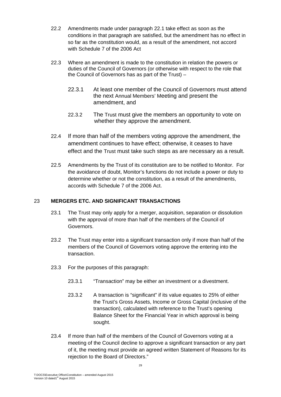- 22.2 Amendments made under paragraph 22.1 take effect as soon as the conditions in that paragraph are satisfied, but the amendment has no effect in so far as the constitution would, as a result of the amendment, not accord with Schedule 7 of the 2006 Act
- 22.3 Where an amendment is made to the constitution in relation the powers or duties of the Council of Governors (or otherwise with respect to the role that the Council of Governors has as part of the Trust) –
	- 22.3.1 At least one member of the Council of Governors must attend the next Annual Members' Meeting and present the amendment, and
	- 22.3.2 The Trust must give the members an opportunity to vote on whether they approve the amendment.
- 22.4 If more than half of the members voting approve the amendment, the amendment continues to have effect; otherwise, it ceases to have effect and the Trust must take such steps as are necessary as a result.
- 22.5 Amendments by the Trust of its constitution are to be notified to Monitor. For the avoidance of doubt, Monitor's functions do not include a power or duty to determine whether or not the constitution, as a result of the amendments, accords with Schedule 7 of the 2006 Act.

# 23 **MERGERS ETC. AND SIGNIFICANT TRANSACTIONS**

- 23.1 The Trust may only apply for a merger, acquisition, separation or dissolution with the approval of more than half of the members of the Council of Governors.
- 23.2 The Trust may enter into a significant transaction only if more than half of the members of the Council of Governors voting approve the entering into the transaction.
- 23.3 For the purposes of this paragraph:
	- 23.3.1 "Transaction" may be either an investment or a divestment.
	- 23.3.2 A transaction is "significant" if its value equates to 25% of either the Trust's Gross Assets, Income or Gross Capital (inclusive of the transaction), calculated with reference to the Trust's opening Balance Sheet for the Financial Year in which approval is being sought.
- 23.4 If more than half of the members of the Council of Governors voting at a meeting of the Council decline to approve a significant transaction or any part of it, the meeting must provide an agreed written Statement of Reasons for its rejection to the Board of Directors."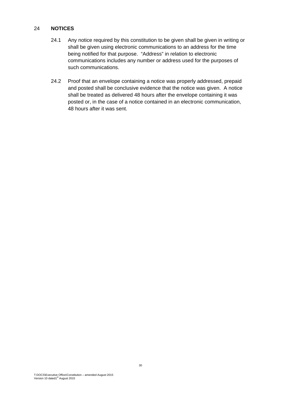# 24 **NOTICES**

- 24.1 Any notice required by this constitution to be given shall be given in writing or shall be given using electronic communications to an address for the time being notified for that purpose. "Address" in relation to electronic communications includes any number or address used for the purposes of such communications.
- 24.2 Proof that an envelope containing a notice was properly addressed, prepaid and posted shall be conclusive evidence that the notice was given. A notice shall be treated as delivered 48 hours after the envelope containing it was posted or, in the case of a notice contained in an electronic communication, 48 hours after it was sent.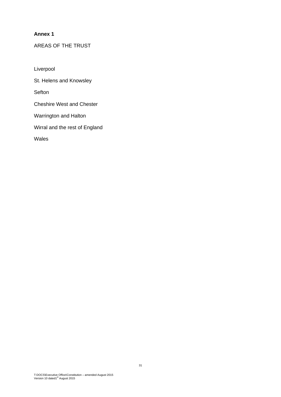# **Annex 1**

# AREAS OF THE TRUST

Liverpool

St. Helens and Knowsley

**Sefton** 

Cheshire West and Chester

Warrington and Halton

Wirral and the rest of England

Wales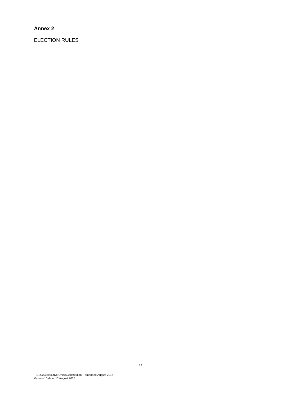# **Annex 2**

ELECTION RULES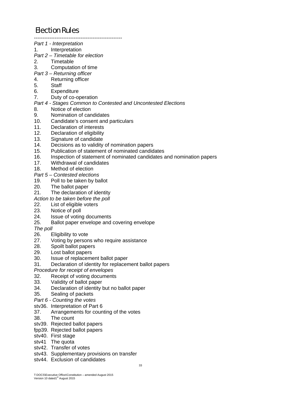# Election Rules ---------------------------------------------------

|            | Part 1 - Interpretation                                                                           |
|------------|---------------------------------------------------------------------------------------------------|
| 1.         | Interpretation                                                                                    |
|            | Part 2 - Timetable for election                                                                   |
| 2.         | Timetable                                                                                         |
| 3.         | Computation of time                                                                               |
|            | Part 3 – Returning officer                                                                        |
| 4.         | Returning officer                                                                                 |
| 5.         | <b>Staff</b>                                                                                      |
|            | 6. Expenditure                                                                                    |
| 7.         | Duty of co-operation                                                                              |
|            | Part 4 - Stages Common to Contested and Uncontested Elections                                     |
| 8.         | Notice of election                                                                                |
| 9.         | Nomination of candidates                                                                          |
| 10.        | Candidate's consent and particulars                                                               |
| 11.        | Declaration of interests                                                                          |
| 12.        | Declaration of eligibility                                                                        |
| 13.        | Signature of candidate                                                                            |
| 14.        | Decisions as to validity of nomination papers                                                     |
| 15.        | Publication of statement of nominated candidates                                                  |
| 16.        |                                                                                                   |
| 17.        | Inspection of statement of nominated candidates and nomination papers<br>Withdrawal of candidates |
| 18.        | Method of election                                                                                |
|            |                                                                                                   |
|            | Part 5 – Contested elections                                                                      |
| 19.        | Poll to be taken by ballot                                                                        |
| 20.<br>21. | The ballot paper                                                                                  |
|            | The declaration of identity                                                                       |
|            | Action to be taken before the poll                                                                |
| 22.        | List of eligible voters                                                                           |
| 23.        | Notice of poll                                                                                    |
| 24.        | Issue of voting documents                                                                         |
| 25.        | Ballot paper envelope and covering envelope                                                       |
| The poll   |                                                                                                   |
| 26.        | Eligibility to vote                                                                               |
| 27.        | Voting by persons who require assistance                                                          |
| 28.        | Spoilt ballot papers                                                                              |
| 29.        | Lost ballot papers                                                                                |
| 30.        | Issue of replacement ballot paper                                                                 |
| 31.        | Declaration of identity for replacement ballot papers                                             |
|            | Procedure for receipt of envelopes                                                                |
| 32.        | Receipt of voting documents                                                                       |
| 33.        | Validity of ballot paper                                                                          |
| 34.        | Declaration of identity but no ballot paper                                                       |
| 35.        | Sealing of packets                                                                                |
|            | Part 6 - Counting the votes                                                                       |
|            | stv36. Interpretation of Part 6                                                                   |
| 37.        | Arrangements for counting of the votes                                                            |
| 38.        | The count                                                                                         |
|            | stv39. Rejected ballot papers                                                                     |
|            | fpp39. Rejected ballot papers                                                                     |
|            | stv40. First stage                                                                                |
|            | stv41 The quota                                                                                   |
|            | stv42. Transfer of votes                                                                          |
|            | stv43. Supplementary provisions on transfer                                                       |
|            | stv44. Exclusion of candidates                                                                    |
|            | 33                                                                                                |
|            |                                                                                                   |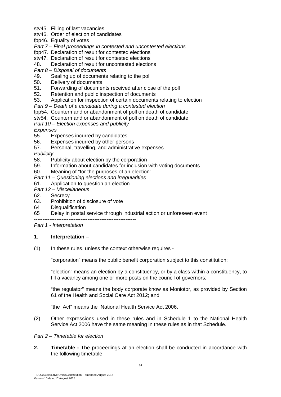- stv45. Filling of last vacancies
- stv46. Order of election of candidates
- fpp46. Equality of votes
- *Part 7 Final proceedings in contested and uncontested elections*
- fpp47. Declaration of result for contested elections
- stv47. Declaration of result for contested elections
- 48. Declaration of result for uncontested elections
- *Part 8 Disposal of documents*
- 49. Sealing up of documents relating to the poll
- 50. Delivery of documents
- 51. Forwarding of documents received after close of the poll
- 52. Retention and public inspection of documents
- 53. Application for inspection of certain documents relating to election
- *Part 9 Death of a candidate during a contested election*
- fpp54. Countermand or abandonment of poll on death of candidate
- stv54. Countermand or abandonment of poll on death of candidate
- *Part 10 Election expenses and publicity*
- *Expenses*
- 55. Expenses incurred by candidates
- 56. Expenses incurred by other persons
- 57. Personal, travelling, and administrative expenses

*Publicity* 

- 58. Publicity about election by the corporation
- 59. Information about candidates for inclusion with voting documents
- 60. Meaning of "for the purposes of an election"
- *Part 11 Questioning elections and irregularities*
- 61. Application to question an election
- *Part 12 Miscellaneous*
- 62. Secrecy
- 63. Prohibition of disclosure of vote
- 64 Disqualification
- 65 Delay in postal service through industrial action or unforeseen event

 $-$ 

*Part 1 - Interpretation* 

#### **1. Interpretation** –

(1) In these rules, unless the context otherwise requires -

"corporation" means the public benefit corporation subject to this constitution;

"election" means an election by a constituency, or by a class within a constituency, to fill a vacancy among one or more posts on the council of governors;

"the regulator" means the body corporate know as Moniotor, as provided by Section 61 of the Health and Social Care Act 2012; and

"the Act" means the National Health Service Act 2006.

(2) Other expressions used in these rules and in Schedule 1 to the National Health Service Act 2006 have the same meaning in these rules as in that Schedule.

# *Part 2 – Timetable for election*

**2.** Timetable - The proceedings at an election shall be conducted in accordance with the following timetable.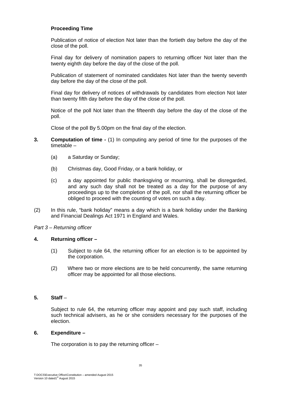# **Proceeding Time**

Publication of notice of election Not later than the fortieth day before the day of the close of the poll.

Final day for delivery of nomination papers to returning officer Not later than the twenty eighth day before the day of the close of the poll.

Publication of statement of nominated candidates Not later than the twenty seventh day before the day of the close of the poll.

Final day for delivery of notices of withdrawals by candidates from election Not later than twenty fifth day before the day of the close of the poll.

Notice of the poll Not later than the fifteenth day before the day of the close of the poll.

Close of the poll By 5.00pm on the final day of the election.

- **3.** Computation of time (1) In computing any period of time for the purposes of the timetable –
	- (a) a Saturday or Sunday;
	- (b) Christmas day, Good Friday, or a bank holiday, or
	- (c) a day appointed for public thanksgiving or mourning, shall be disregarded, and any such day shall not be treated as a day for the purpose of any proceedings up to the completion of the poll, nor shall the returning officer be obliged to proceed with the counting of votes on such a day.
- (2) In this rule, "bank holiday" means a day which is a bank holiday under the Banking and Financial Dealings Act 1971 in England and Wales.

#### *Part 3 – Returning officer*

#### **4. Returning officer –**

- (1) Subject to rule 64, the returning officer for an election is to be appointed by the corporation.
- (2) Where two or more elections are to be held concurrently, the same returning officer may be appointed for all those elections.

# **5. Staff** –

Subject to rule 64, the returning officer may appoint and pay such staff, including such technical advisers, as he or she considers necessary for the purposes of the election.

#### **6. Expenditure –**

The corporation is to pay the returning officer –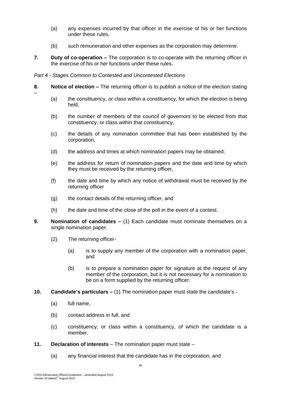- (a) any expenses incurred by that officer in the exercise of his or her functions under these rules,
- (b) such remuneration and other expenses as the corporation may determine.
- **7. Duty of co-operation** The corporation is to co-operate with the returning officer in the exercise of his or her functions under these rules.

# *Part 4 - Stages Common to Contested and Uncontested Elections*

- **8. Notice of election** The returning officer is to publish a notice of the election stating
	- (a) the constituency, or class within a constituency, for which the election is being held,
	- (b) the number of members of the council of governors to be elected from that constituency, or class within that constituency,
	- (c) the details of any nomination committee that has been established by the corporation,
	- (d) the address and times at which nomination papers may be obtained;
	- (e) the address for return of nomination papers and the date and time by which they must be received by the returning officer,
	- (f) the date and time by which any notice of withdrawal must be received by the returning officer
	- (g) the contact details of the returning officer, and
	- (h) the date and time of the close of the poll in the event of a contest.
- **9. Nomination of candidates** (1) Each candidate must nominate themselves on a single nomination paper.
	- (2) The returning officer-
		- (a) is to supply any member of the corporation with a nomination paper, and
		- (b) is to prepare a nomination paper for signature at the request of any member of the corporation, but it is not necessary for a nomination to be on a form supplied by the returning officer.
- **10. Candidate's particulars** (1) The nomination paper must state the candidate's
	- (a) full name,

–

- (b) contact address in full, and
- (c) constituency, or class within a constituency, of which the candidate is a member.
- **11. Declaration of interests**  The nomination paper must state
	- (a) any financial interest that the candidate has in the corporation, and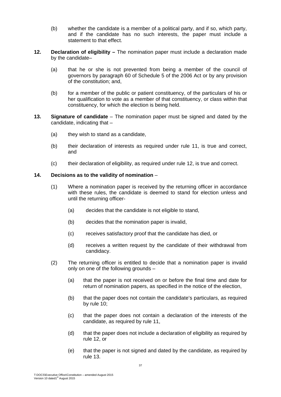- (b) whether the candidate is a member of a political party, and if so, which party, and if the candidate has no such interests, the paper must include a statement to that effect.
- **12. Declaration of eligibility** The nomination paper must include a declaration made by the candidate–
	- (a) that he or she is not prevented from being a member of the council of governors by paragraph 60 of Schedule 5 of the 2006 Act or by any provision of the constitution; and,
	- (b) for a member of the public or patient constituency, of the particulars of his or her qualification to vote as a member of that constituency, or class within that constituency, for which the election is being held.
- **13. Signature of candidate**  The nomination paper must be signed and dated by the candidate, indicating that –
	- (a) they wish to stand as a candidate,
	- (b) their declaration of interests as required under rule 11, is true and correct, and
	- (c) their declaration of eligibility, as required under rule 12, is true and correct.

# **14. Decisions as to the validity of nomination** –

- (1) Where a nomination paper is received by the returning officer in accordance with these rules, the candidate is deemed to stand for election unless and until the returning officer-
	- (a) decides that the candidate is not eligible to stand,
	- (b) decides that the nomination paper is invalid,
	- (c) receives satisfactory proof that the candidate has died, or
	- (d) receives a written request by the candidate of their withdrawal from candidacy.
- (2) The returning officer is entitled to decide that a nomination paper is invalid only on one of the following grounds –
	- (a) that the paper is not received on or before the final time and date for return of nomination papers, as specified in the notice of the election,
	- (b) that the paper does not contain the candidate's particulars, as required by rule 10;
	- (c) that the paper does not contain a declaration of the interests of the candidate, as required by rule 11,
	- (d) that the paper does not include a declaration of eligibility as required by rule 12, or
	- (e) that the paper is not signed and dated by the candidate, as required by rule 13.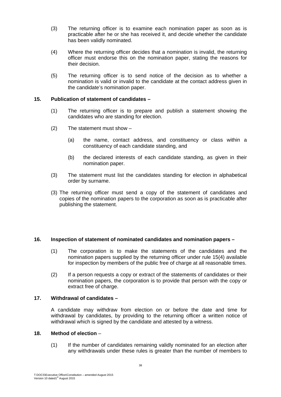- (3) The returning officer is to examine each nomination paper as soon as is practicable after he or she has received it, and decide whether the candidate has been validly nominated.
- (4) Where the returning officer decides that a nomination is invalid, the returning officer must endorse this on the nomination paper, stating the reasons for their decision.
- (5) The returning officer is to send notice of the decision as to whether a nomination is valid or invalid to the candidate at the contact address given in the candidate's nomination paper.

# **15. Publication of statement of candidates –**

- (1) The returning officer is to prepare and publish a statement showing the candidates who are standing for election.
- (2) The statement must show
	- (a) the name, contact address, and constituency or class within a constituency of each candidate standing, and
	- (b) the declared interests of each candidate standing, as given in their nomination paper.
- (3) The statement must list the candidates standing for election in alphabetical order by surname.
- (3) The returning officer must send a copy of the statement of candidates and copies of the nomination papers to the corporation as soon as is practicable after publishing the statement.

# **16. Inspection of statement of nominated candidates and nomination papers –**

- (1) The corporation is to make the statements of the candidates and the nomination papers supplied by the returning officer under rule 15(4) available for inspection by members of the public free of charge at all reasonable times.
- (2) If a person requests a copy or extract of the statements of candidates or their nomination papers, the corporation is to provide that person with the copy or extract free of charge.

# **17. Withdrawal of candidates –**

A candidate may withdraw from election on or before the date and time for withdrawal by candidates, by providing to the returning officer a written notice of withdrawal which is signed by the candidate and attested by a witness.

#### **18. Method of election** –

(1) If the number of candidates remaining validly nominated for an election after any withdrawals under these rules is greater than the number of members to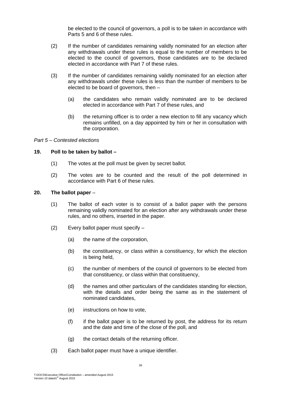be elected to the council of governors, a poll is to be taken in accordance with Parts 5 and 6 of these rules.

- (2) If the number of candidates remaining validly nominated for an election after any withdrawals under these rules is equal to the number of members to be elected to the council of governors, those candidates are to be declared elected in accordance with Part 7 of these rules.
- (3) If the number of candidates remaining validly nominated for an election after any withdrawals under these rules is less than the number of members to be elected to be board of governors, then –
	- (a) the candidates who remain validly nominated are to be declared elected in accordance with Part 7 of these rules, and
	- (b) the returning officer is to order a new election to fill any vacancy which remains unfilled, on a day appointed by him or her in consultation with the corporation.

#### *Part 5 – Contested elections*

# **19. Poll to be taken by ballot –**

- (1) The votes at the poll must be given by secret ballot.
- (2) The votes are to be counted and the result of the poll determined in accordance with Part 6 of these rules.

# **20. The ballot paper** –

- (1) The ballot of each voter is to consist of a ballot paper with the persons remaining validly nominated for an election after any withdrawals under these rules, and no others, inserted in the paper.
- (2) Every ballot paper must specify
	- (a) the name of the corporation,
	- (b) the constituency, or class within a constituency, for which the election is being held,
	- (c) the number of members of the council of governors to be elected from that constituency, or class within that constituency,
	- (d) the names and other particulars of the candidates standing for election, with the details and order being the same as in the statement of nominated candidates,
	- (e) instructions on how to vote,
	- (f) if the ballot paper is to be returned by post, the address for its return and the date and time of the close of the poll, and
	- (g) the contact details of the returning officer.
- (3) Each ballot paper must have a unique identifier.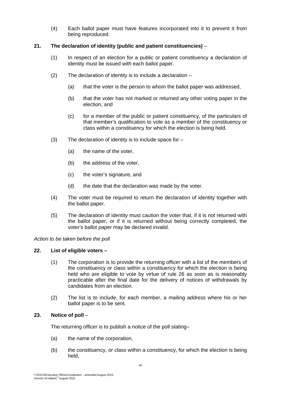(4) Each ballot paper must have features incorporated into it to prevent it from being reproduced.

# **21. The declaration of identity (public and patient constituencies)** –

- (1) In respect of an election for a public or patient constituency a declaration of identity must be issued with each ballot paper.
- (2) The declaration of identity is to include a declaration
	- (a) that the voter is the person to whom the ballot paper was addressed,
	- (b) that the voter has not marked or returned any other voting paper in the election, and
	- (c) for a member of the public or patient constituency, of the particulars of that member's qualification to vote as a member of the constituency or class within a constituency for which the election is being held.
- $(3)$  The declaration of identity is to include space for  $-$ 
	- (a) the name of the voter,
	- (b) the address of the voter,
	- (c) the voter's signature, and
	- (d) the date that the declaration was made by the voter.
- (4) The voter must be required to return the declaration of identity together with the ballot paper.
- (5) The declaration of identity must caution the voter that, if it is not returned with the ballot paper, or if it is returned without being correctly completed, the voter's ballot paper may be declared invalid.

# *Action to be taken before the poll*

# **22. List of eligible voters –**

- (1) The corporation is to provide the returning officer with a list of the members of the constituency or class within a constituency for which the election is being held who are eligible to vote by virtue of rule 26 as soon as is reasonably practicable after the final date for the delivery of notices of withdrawals by candidates from an election.
- (2) The list is to include, for each member, a mailing address where his or her ballot paper is to be sent.

# **23. Notice of poll** –

The returning officer is to publish a notice of the poll stating–

- (a) the name of the corporation,
- (b) the constituency, or class within a constituency, for which the election is being held,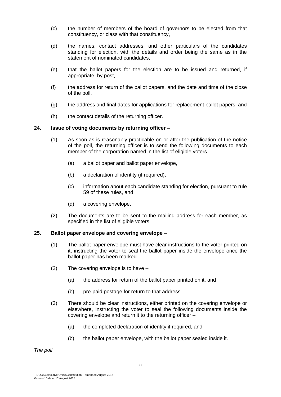- (c) the number of members of the board of governors to be elected from that constituency, or class with that constituency,
- (d) the names, contact addresses, and other particulars of the candidates standing for election, with the details and order being the same as in the statement of nominated candidates,
- (e) that the ballot papers for the election are to be issued and returned, if appropriate, by post,
- (f) the address for return of the ballot papers, and the date and time of the close of the poll,
- (g) the address and final dates for applications for replacement ballot papers, and
- (h) the contact details of the returning officer.

# **24. Issue of voting documents by returning officer** –

- (1) As soon as is reasonably practicable on or after the publication of the notice of the poll, the returning officer is to send the following documents to each member of the corporation named in the list of eligible voters–
	- (a) a ballot paper and ballot paper envelope,
	- (b) a declaration of identity (if required),
	- (c) information about each candidate standing for election, pursuant to rule 59 of these rules, and
	- (d) a covering envelope.
- (2) The documents are to be sent to the mailing address for each member, as specified in the list of eligible voters.

#### **25. Ballot paper envelope and covering envelope** –

- (1) The ballot paper envelope must have clear instructions to the voter printed on it, instructing the voter to seal the ballot paper inside the envelope once the ballot paper has been marked.
- (2) The covering envelope is to have
	- (a) the address for return of the ballot paper printed on it, and
	- (b) pre-paid postage for return to that address.
- (3) There should be clear instructions, either printed on the covering envelope or elsewhere, instructing the voter to seal the following documents inside the covering envelope and return it to the returning officer –
	- (a) the completed declaration of identity if required, and
	- (b) the ballot paper envelope, with the ballot paper sealed inside it.

*The poll*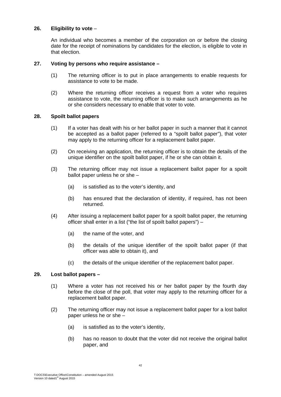# **26. Eligibility to vote** –

An individual who becomes a member of the corporation on or before the closing date for the receipt of nominations by candidates for the election, is eligible to vote in that election.

#### **27. Voting by persons who require assistance –**

- (1) The returning officer is to put in place arrangements to enable requests for assistance to vote to be made.
- (2) Where the returning officer receives a request from a voter who requires assistance to vote, the returning officer is to make such arrangements as he or she considers necessary to enable that voter to vote.

# **28. Spoilt ballot papers**

- (1) If a voter has dealt with his or her ballot paper in such a manner that it cannot be accepted as a ballot paper (referred to a "spoilt ballot paper"), that voter may apply to the returning officer for a replacement ballot paper.
- (2) On receiving an application, the returning officer is to obtain the details of the unique identifier on the spoilt ballot paper, if he or she can obtain it.
- (3) The returning officer may not issue a replacement ballot paper for a spoilt ballot paper unless he or she –
	- (a) is satisfied as to the voter's identity, and
	- (b) has ensured that the declaration of identity, if required, has not been returned.
- (4) After issuing a replacement ballot paper for a spoilt ballot paper, the returning officer shall enter in a list ("the list of spoilt ballot papers") –
	- (a) the name of the voter, and
	- (b) the details of the unique identifier of the spoilt ballot paper (if that officer was able to obtain it), and
	- (c) the details of the unique identifier of the replacement ballot paper.

#### **29. Lost ballot papers –**

- (1) Where a voter has not received his or her ballot paper by the fourth day before the close of the poll, that voter may apply to the returning officer for a replacement ballot paper.
- (2) The returning officer may not issue a replacement ballot paper for a lost ballot paper unless he or she –
	- (a) is satisfied as to the voter's identity,
	- (b) has no reason to doubt that the voter did not receive the original ballot paper, and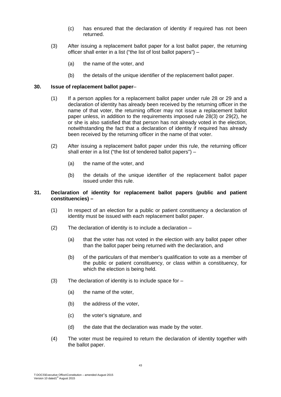- (c) has ensured that the declaration of identity if required has not been returned.
- (3) After issuing a replacement ballot paper for a lost ballot paper, the returning officer shall enter in a list ("the list of lost ballot papers") –
	- (a) the name of the voter, and
	- (b) the details of the unique identifier of the replacement ballot paper.

# **30. Issue of replacement ballot paper**–

- (1) If a person applies for a replacement ballot paper under rule 28 or 29 and a declaration of identity has already been received by the returning officer in the name of that voter, the returning officer may not issue a replacement ballot paper unless, in addition to the requirements imposed rule 28(3) or 29(2), he or she is also satisfied that that person has not already voted in the election, notwithstanding the fact that a declaration of identity if required has already been received by the returning officer in the name of that voter.
- (2) After issuing a replacement ballot paper under this rule, the returning officer shall enter in a list ("the list of tendered ballot papers") –
	- (a) the name of the voter, and
	- (b) the details of the unique identifier of the replacement ballot paper issued under this rule.

# **31. Declaration of identity for replacement ballot papers (public and patient constituencies) –**

- (1) In respect of an election for a public or patient constituency a declaration of identity must be issued with each replacement ballot paper.
- (2) The declaration of identity is to include a declaration
	- (a) that the voter has not voted in the election with any ballot paper other than the ballot paper being returned with the declaration, and
	- (b) of the particulars of that member's qualification to vote as a member of the public or patient constituency, or class within a constituency, for which the election is being held.
- (3) The declaration of identity is to include space for  $-$ 
	- (a) the name of the voter,
	- (b) the address of the voter,
	- (c) the voter's signature, and
	- (d) the date that the declaration was made by the voter.
- (4) The voter must be required to return the declaration of identity together with the ballot paper.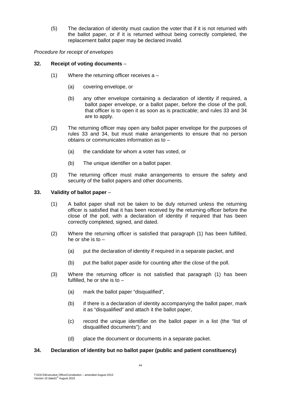(5) The declaration of identity must caution the voter that if it is not returned with the ballot paper, or if it is returned without being correctly completed, the replacement ballot paper may be declared invalid.

*Procedure for receipt of envelopes* 

# **32. Receipt of voting documents** –

- (1) Where the returning officer receives a
	- (a) covering envelope, or
	- (b) any other envelope containing a declaration of identity if required, a ballot paper envelope, or a ballot paper, before the close of the poll, that officer is to open it as soon as is practicable; and rules 33 and 34 are to apply.
- (2) The returning officer may open any ballot paper envelope for the purposes of rules 33 and 34, but must make arrangements to ensure that no person obtains or communicates information as to –
	- (a) the candidate for whom a voter has voted, or
	- (b) The unique identifier on a ballot paper.
- (3) The returning officer must make arrangements to ensure the safety and security of the ballot papers and other documents.

# **33. Validity of ballot paper** –

- (1) A ballot paper shall not be taken to be duly returned unless the returning officer is satisfied that it has been received by the returning officer before the close of the poll, with a declaration of identity if required that has been correctly completed, signed, and dated.
- (2) Where the returning officer is satisfied that paragraph (1) has been fulfilled, he or she is to –
	- (a) put the declaration of identity if required in a separate packet, and
	- (b) put the ballot paper aside for counting after the close of the poll.
- (3) Where the returning officer is not satisfied that paragraph (1) has been fulfilled, he or she is to –
	- (a) mark the ballot paper "disqualified",
	- (b) if there is a declaration of identity accompanying the ballot paper, mark it as "disqualified" and attach it the ballot paper,
	- (c) record the unique identifier on the ballot paper in a list (the "list of disqualified documents"); and
	- (d) place the document or documents in a separate packet.

# **34. Declaration of identity but no ballot paper (public and patient constituency)**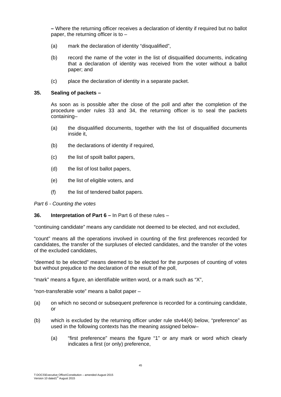**–** Where the returning officer receives a declaration of identity if required but no ballot paper, the returning officer is to –

- (a) mark the declaration of identity "disqualified",
- (b) record the name of the voter in the list of disqualified documents, indicating that a declaration of identity was received from the voter without a ballot paper; and
- (c) place the declaration of identity in a separate packet.

#### **35. Sealing of packets –**

As soon as is possible after the close of the poll and after the completion of the procedure under rules 33 and 34, the returning officer is to seal the packets containing–

- (a) the disqualified documents, together with the list of disqualified documents inside it,
- (b) the declarations of identity if required,
- (c) the list of spoilt ballot papers,
- (d) the list of lost ballot papers,
- (e) the list of eligible voters, and
- (f) the list of tendered ballot papers.

#### *Part 6 - Counting the votes*

#### **36. Interpretation of Part 6 –** In Part 6 of these rules –

"continuing candidate" means any candidate not deemed to be elected, and not excluded,

"count" means all the operations involved in counting of the first preferences recorded for candidates, the transfer of the surpluses of elected candidates, and the transfer of the votes of the excluded candidates,

"deemed to be elected" means deemed to be elected for the purposes of counting of votes but without prejudice to the declaration of the result of the poll,

"mark" means a figure, an identifiable written word, or a mark such as "X",

"non-transferable vote" means a ballot paper –

- (a) on which no second or subsequent preference is recorded for a continuing candidate, or
- (b) which is excluded by the returning officer under rule stv44(4) below, "preference" as used in the following contexts has the meaning assigned below–
	- (a) "first preference" means the figure "1" or any mark or word which clearly indicates a first (or only) preference,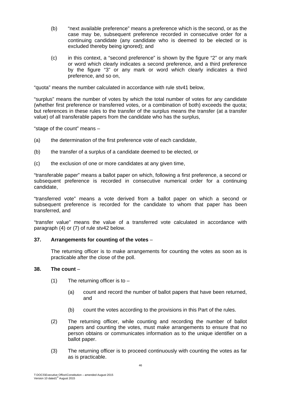- (b) "next available preference" means a preference which is the second, or as the case may be, subsequent preference recorded in consecutive order for a continuing candidate (any candidate who is deemed to be elected or is excluded thereby being ignored); and
- (c) in this context, a "second preference" is shown by the figure "2" or any mark or word which clearly indicates a second preference, and a third preference by the figure "3" or any mark or word which clearly indicates a third preference, and so on,

"quota" means the number calculated in accordance with rule stv41 below,

"surplus" means the number of votes by which the total number of votes for any candidate (whether first preference or transferred votes, or a combination of both) exceeds the quota; but references in these rules to the transfer of the surplus means the transfer (at a transfer value) of all transferable papers from the candidate who has the surplus,

"stage of the count" means –

- (a) the determination of the first preference vote of each candidate,
- (b) the transfer of a surplus of a candidate deemed to be elected, or
- (c) the exclusion of one or more candidates at any given time,

"transferable paper" means a ballot paper on which, following a first preference, a second or subsequent preference is recorded in consecutive numerical order for a continuing candidate,

"transferred vote" means a vote derived from a ballot paper on which a second or subsequent preference is recorded for the candidate to whom that paper has been transferred, and

"transfer value" means the value of a transferred vote calculated in accordance with paragraph (4) or (7) of rule stv42 below.

#### **37. Arrangements for counting of the votes** –

The returning officer is to make arrangements for counting the votes as soon as is practicable after the close of the poll.

#### **38. The count** –

- $(1)$  The returning officer is to  $-$ 
	- (a) count and record the number of ballot papers that have been returned, and
	- (b) count the votes according to the provisions in this Part of the rules.
- (2) The returning officer, while counting and recording the number of ballot papers and counting the votes, must make arrangements to ensure that no person obtains or communicates information as to the unique identifier on a ballot paper.
- (3) The returning officer is to proceed continuously with counting the votes as far as is practicable.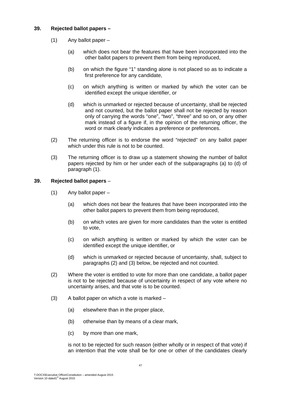# **39. Rejected ballot papers –**

- (1) Any ballot paper
	- (a) which does not bear the features that have been incorporated into the other ballot papers to prevent them from being reproduced,
	- (b) on which the figure "1" standing alone is not placed so as to indicate a first preference for any candidate,
	- (c) on which anything is written or marked by which the voter can be identified except the unique identifier, or
	- (d) which is unmarked or rejected because of uncertainty, shall be rejected and not counted, but the ballot paper shall not be rejected by reason only of carrying the words "one", "two", "three" and so on, or any other mark instead of a figure if, in the opinion of the returning officer, the word or mark clearly indicates a preference or preferences.
- (2) The returning officer is to endorse the word "rejected" on any ballot paper which under this rule is not to be counted.
- (3) The returning officer is to draw up a statement showing the number of ballot papers rejected by him or her under each of the subparagraphs (a) to (d) of paragraph (1).

# **39. Rejected ballot papers** –

- (1) Any ballot paper
	- (a) which does not bear the features that have been incorporated into the other ballot papers to prevent them from being reproduced,
	- (b) on which votes are given for more candidates than the voter is entitled to vote,
	- (c) on which anything is written or marked by which the voter can be identified except the unique identifier, or
	- (d) which is unmarked or rejected because of uncertainty, shall, subject to paragraphs (2) and (3) below, be rejected and not counted.
- (2) Where the voter is entitled to vote for more than one candidate, a ballot paper is not to be rejected because of uncertainty in respect of any vote where no uncertainty arises, and that vote is to be counted.
- (3) A ballot paper on which a vote is marked
	- (a) elsewhere than in the proper place,
	- (b) otherwise than by means of a clear mark,
	- (c) by more than one mark,

is not to be rejected for such reason (either wholly or in respect of that vote) if an intention that the vote shall be for one or other of the candidates clearly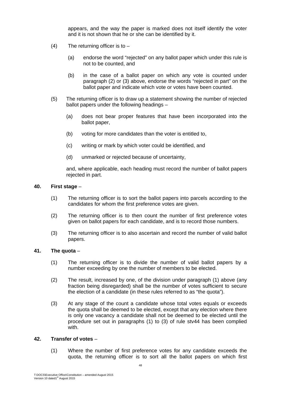appears, and the way the paper is marked does not itself identify the voter and it is not shown that he or she can be identified by it.

- $(4)$  The returning officer is to  $-$ 
	- (a) endorse the word "rejected" on any ballot paper which under this rule is not to be counted, and
	- (b) in the case of a ballot paper on which any vote is counted under paragraph (2) or (3) above, endorse the words "rejected in part" on the ballot paper and indicate which vote or votes have been counted.
- (5) The returning officer is to draw up a statement showing the number of rejected ballot papers under the following headings –
	- (a) does not bear proper features that have been incorporated into the ballot paper,
	- (b) voting for more candidates than the voter is entitled to,
	- (c) writing or mark by which voter could be identified, and
	- (d) unmarked or rejected because of uncertainty,

and, where applicable, each heading must record the number of ballot papers rejected in part.

#### **40. First stage** –

- (1) The returning officer is to sort the ballot papers into parcels according to the candidates for whom the first preference votes are given.
- (2) The returning officer is to then count the number of first preference votes given on ballot papers for each candidate, and is to record those numbers.
- (3) The returning officer is to also ascertain and record the number of valid ballot papers.

# **41. The quota** –

- (1) The returning officer is to divide the number of valid ballot papers by a number exceeding by one the number of members to be elected.
- (2) The result, increased by one, of the division under paragraph (1) above (any fraction being disregarded) shall be the number of votes sufficient to secure the election of a candidate (in these rules referred to as "the quota").
- (3) At any stage of the count a candidate whose total votes equals or exceeds the quota shall be deemed to be elected, except that any election where there is only one vacancy a candidate shall not be deemed to be elected until the procedure set out in paragraphs (1) to (3) of rule stv44 has been complied with.

# **42. Transfer of votes** –

(1) Where the number of first preference votes for any candidate exceeds the quota, the returning officer is to sort all the ballot papers on which first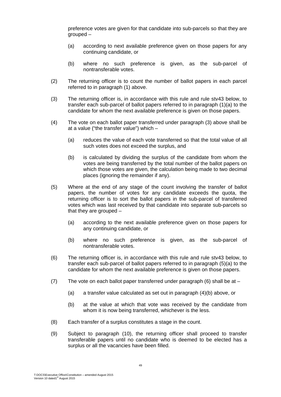preference votes are given for that candidate into sub-parcels so that they are grouped –

- (a) according to next available preference given on those papers for any continuing candidate, or
- (b) where no such preference is given, as the sub-parcel of nontransferable votes.
- (2) The returning officer is to count the number of ballot papers in each parcel referred to in paragraph (1) above.
- (3) The returning officer is, in accordance with this rule and rule stv43 below, to transfer each sub-parcel of ballot papers referred to in paragraph (1)(a) to the candidate for whom the next available preference is given on those papers.
- (4) The vote on each ballot paper transferred under paragraph (3) above shall be at a value ("the transfer value") which –
	- (a) reduces the value of each vote transferred so that the total value of all such votes does not exceed the surplus, and
	- (b) is calculated by dividing the surplus of the candidate from whom the votes are being transferred by the total number of the ballot papers on which those votes are given, the calculation being made to two decimal places (ignoring the remainder if any).
- (5) Where at the end of any stage of the count involving the transfer of ballot papers, the number of votes for any candidate exceeds the quota, the returning officer is to sort the ballot papers in the sub-parcel of transferred votes which was last received by that candidate into separate sub-parcels so that they are grouped –
	- (a) according to the next available preference given on those papers for any continuing candidate, or
	- (b) where no such preference is given, as the sub-parcel of nontransferable votes.
- (6) The returning officer is, in accordance with this rule and rule stv43 below, to transfer each sub-parcel of ballot papers referred to in paragraph (5)(a) to the candidate for whom the next available preference is given on those papers.
- (7) The vote on each ballot paper transferred under paragraph  $(6)$  shall be at  $-$ 
	- (a) a transfer value calculated as set out in paragraph (4)(b) above, or
	- (b) at the value at which that vote was received by the candidate from whom it is now being transferred, whichever is the less.
- (8) Each transfer of a surplus constitutes a stage in the count.
- (9) Subject to paragraph (10), the returning officer shall proceed to transfer transferable papers until no candidate who is deemed to be elected has a surplus or all the vacancies have been filled.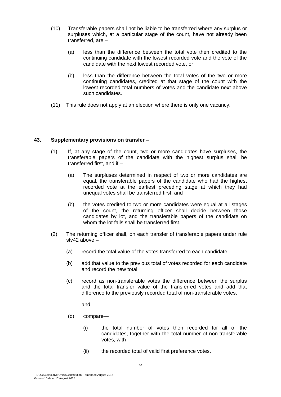- (10) Transferable papers shall not be liable to be transferred where any surplus or surpluses which, at a particular stage of the count, have not already been transferred, are –
	- (a) less than the difference between the total vote then credited to the continuing candidate with the lowest recorded vote and the vote of the candidate with the next lowest recorded vote, or
	- (b) less than the difference between the total votes of the two or more continuing candidates, credited at that stage of the count with the lowest recorded total numbers of votes and the candidate next above such candidates.
- (11) This rule does not apply at an election where there is only one vacancy.

# **43. Supplementary provisions on transfer** –

- (1) If, at any stage of the count, two or more candidates have surpluses, the transferable papers of the candidate with the highest surplus shall be transferred first, and if –
	- (a) The surpluses determined in respect of two or more candidates are equal, the transferable papers of the candidate who had the highest recorded vote at the earliest preceding stage at which they had unequal votes shall be transferred first, and
	- (b) the votes credited to two or more candidates were equal at all stages of the count, the returning officer shall decide between those candidates by lot, and the transferable papers of the candidate on whom the lot falls shall be transferred first.
- (2) The returning officer shall, on each transfer of transferable papers under rule stv42 above –
	- (a) record the total value of the votes transferred to each candidate,
	- (b) add that value to the previous total of votes recorded for each candidate and record the new total,
	- (c) record as non-transferable votes the difference between the surplus and the total transfer value of the transferred votes and add that difference to the previously recorded total of non-transferable votes,

and

- (d) compare—
	- (i) the total number of votes then recorded for all of the candidates, together with the total number of non-transferable votes, with
	- (ii) the recorded total of valid first preference votes.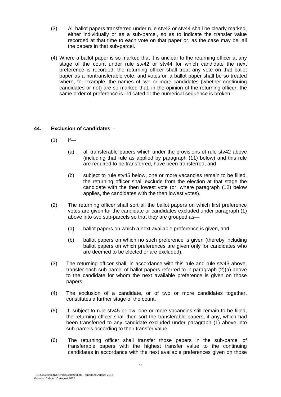- (3) All ballot papers transferred under rule stv42 or stv44 shall be clearly marked, either individually or as a sub-parcel, so as to indicate the transfer value recorded at that time to each vote on that paper or, as the case may be, all the papers in that sub-parcel.
- (4) Where a ballot paper is so marked that it is unclear to the returning officer at any stage of the count under rule stv42 or stv44 for which candidate the next preference is recorded, the returning officer shall treat any vote on that ballot paper as a nontransferable vote; and votes on a ballot paper shall be so treated where, for example, the names of two or more candidates (whether continuing candidates or not) are so marked that, in the opinion of the returning officer, the same order of preference is indicated or the numerical sequence is broken.

# **44. Exclusion of candidates** –

- $(1)$  If—
	- (a) all transferable papers which under the provisions of rule stv42 above (including that rule as applied by paragraph (11) below) and this rule are required to be transferred, have been transferred, and
	- (b) subject to rule stv45 below, one or more vacancies remain to be filled, the returning officer shall exclude from the election at that stage the candidate with the then lowest vote (or, where paragraph (12) below applies, the candidates with the then lowest votes).
- (2) The returning officer shall sort all the ballot papers on which first preference votes are given for the candidate or candidates excluded under paragraph (1) above into two sub-parcels so that they are grouped as—
	- (a) ballot papers on which a next available preference is given, and
	- (b) ballot papers on which no such preference is given (thereby including ballot papers on which preferences are given only for candidates who are deemed to be elected or are excluded).
- (3) The returning officer shall, in accordance with this rule and rule stv43 above, transfer each sub-parcel of ballot papers referred to in paragraph (2)(a) above to the candidate for whom the next available preference is given on those papers.
- (4) The exclusion of a candidate, or of two or more candidates together, constitutes a further stage of the count.
- (5) If, subject to rule stv45 below, one or more vacancies still remain to be filled, the returning officer shall then sort the transferable papers, if any, which had been transferred to any candidate excluded under paragraph (1) above into sub-parcels according to their transfer value.
- (6) The returning officer shall transfer those papers in the sub-parcel of transferable papers with the highest transfer value to the continuing candidates in accordance with the next available preferences given on those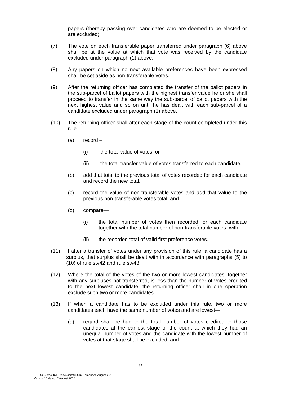papers (thereby passing over candidates who are deemed to be elected or are excluded).

- (7) The vote on each transferable paper transferred under paragraph (6) above shall be at the value at which that vote was received by the candidate excluded under paragraph (1) above.
- (8) Any papers on which no next available preferences have been expressed shall be set aside as non-transferable votes.
- (9) After the returning officer has completed the transfer of the ballot papers in the sub-parcel of ballot papers with the highest transfer value he or she shall proceed to transfer in the same way the sub-parcel of ballot papers with the next highest value and so on until he has dealt with each sub-parcel of a candidate excluded under paragraph (1) above.
- (10) The returning officer shall after each stage of the count completed under this rule—
	- (a) record
		- (i) the total value of votes, or
		- (ii) the total transfer value of votes transferred to each candidate,
	- (b) add that total to the previous total of votes recorded for each candidate and record the new total,
	- (c) record the value of non-transferable votes and add that value to the previous non-transferable votes total, and
	- (d) compare—
		- (i) the total number of votes then recorded for each candidate together with the total number of non-transferable votes, with
		- (ii) the recorded total of valid first preference votes.
- (11) If after a transfer of votes under any provision of this rule, a candidate has a surplus, that surplus shall be dealt with in accordance with paragraphs (5) to (10) of rule stv42 and rule stv43.
- (12) Where the total of the votes of the two or more lowest candidates, together with any surpluses not transferred, is less than the number of votes credited to the next lowest candidate, the returning officer shall in one operation exclude such two or more candidates.
- (13) If when a candidate has to be excluded under this rule, two or more candidates each have the same number of votes and are lowest—
	- (a) regard shall be had to the total number of votes credited to those candidates at the earliest stage of the count at which they had an unequal number of votes and the candidate with the lowest number of votes at that stage shall be excluded, and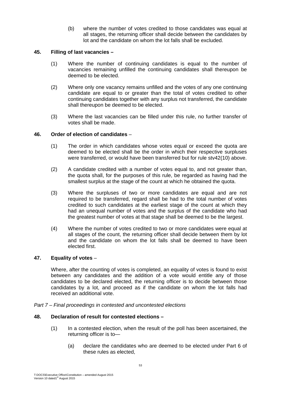(b) where the number of votes credited to those candidates was equal at all stages, the returning officer shall decide between the candidates by lot and the candidate on whom the lot falls shall be excluded.

# **45. Filling of last vacancies –**

- (1) Where the number of continuing candidates is equal to the number of vacancies remaining unfilled the continuing candidates shall thereupon be deemed to be elected.
- (2) Where only one vacancy remains unfilled and the votes of any one continuing candidate are equal to or greater than the total of votes credited to other continuing candidates together with any surplus not transferred, the candidate shall thereupon be deemed to be elected.
- (3) Where the last vacancies can be filled under this rule, no further transfer of votes shall be made.

# **46. Order of election of candidates** –

- (1) The order in which candidates whose votes equal or exceed the quota are deemed to be elected shall be the order in which their respective surpluses were transferred, or would have been transferred but for rule stv42(10) above.
- (2) A candidate credited with a number of votes equal to, and not greater than, the quota shall, for the purposes of this rule, be regarded as having had the smallest surplus at the stage of the count at which he obtained the quota.
- (3) Where the surpluses of two or more candidates are equal and are not required to be transferred, regard shall be had to the total number of votes credited to such candidates at the earliest stage of the count at which they had an unequal number of votes and the surplus of the candidate who had the greatest number of votes at that stage shall be deemed to be the largest.
- (4) Where the number of votes credited to two or more candidates were equal at all stages of the count, the returning officer shall decide between them by lot and the candidate on whom the lot falls shall be deemed to have been elected first.

# **47. Equality of votes** –

Where, after the counting of votes is completed, an equality of votes is found to exist between any candidates and the addition of a vote would entitle any of those candidates to be declared elected, the returning officer is to decide between those candidates by a lot, and proceed as if the candidate on whom the lot falls had received an additional vote.

*Part 7 – Final proceedings in contested and uncontested elections* 

#### **48. Declaration of result for contested elections –**

- (1) In a contested election, when the result of the poll has been ascertained, the returning officer is to—
	- (a) declare the candidates who are deemed to be elected under Part 6 of these rules as elected,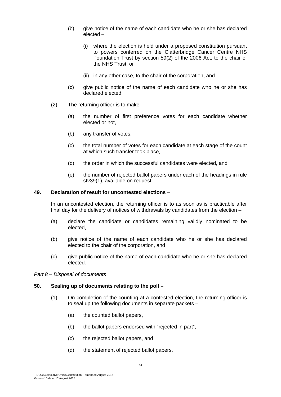- (b) give notice of the name of each candidate who he or she has declared elected –
	- (i) where the election is held under a proposed constitution pursuant to powers conferred on the Clatterbridge Cancer Centre NHS Foundation Trust by section 59(2) of the 2006 Act, to the chair of the NHS Trust, or
	- (ii) in any other case, to the chair of the corporation, and
- (c) give public notice of the name of each candidate who he or she has declared elected.
- (2) The returning officer is to make
	- (a) the number of first preference votes for each candidate whether elected or not,
	- (b) any transfer of votes,
	- (c) the total number of votes for each candidate at each stage of the count at which such transfer took place,
	- (d) the order in which the successful candidates were elected, and
	- (e) the number of rejected ballot papers under each of the headings in rule stv39(1), available on request.

#### **49. Declaration of result for uncontested elections** –

In an uncontested election, the returning officer is to as soon as is practicable after final day for the delivery of notices of withdrawals by candidates from the election –

- (a) declare the candidate or candidates remaining validly nominated to be elected,
- (b) give notice of the name of each candidate who he or she has declared elected to the chair of the corporation, and
- (c) give public notice of the name of each candidate who he or she has declared elected.

*Part 8 – Disposal of documents* 

#### **50. Sealing up of documents relating to the poll –**

- (1) On completion of the counting at a contested election, the returning officer is to seal up the following documents in separate packets –
	- (a) the counted ballot papers,
	- (b) the ballot papers endorsed with "rejected in part",
	- (c) the rejected ballot papers, and
	- (d) the statement of rejected ballot papers.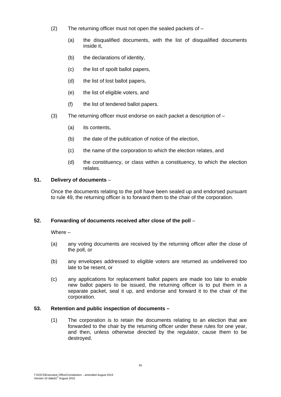- (2) The returning officer must not open the sealed packets of
	- (a) the disqualified documents, with the list of disqualified documents inside it,
	- (b) the declarations of identity,
	- (c) the list of spoilt ballot papers,
	- (d) the list of lost ballot papers,
	- (e) the list of eligible voters, and
	- (f) the list of tendered ballot papers.
- (3) The returning officer must endorse on each packet a description of
	- (a) its contents,
	- (b) the date of the publication of notice of the election,
	- (c) the name of the corporation to which the election relates, and
	- (d) the constituency, or class within a constituency, to which the election relates.

# **51. Delivery of documents** –

Once the documents relating to the poll have been sealed up and endorsed pursuant to rule 49, the returning officer is to forward them to the chair of the corporation.

# **52. Forwarding of documents received after close of the poll** –

Where –

- (a) any voting documents are received by the returning officer after the close of the poll, or
- (b) any envelopes addressed to eligible voters are returned as undelivered too late to be resent, or
- (c) any applications for replacement ballot papers are made too late to enable new ballot papers to be issued, the returning officer is to put them in a separate packet, seal it up, and endorse and forward it to the chair of the corporation.

# **53. Retention and public inspection of documents –**

(1) The corporation is to retain the documents relating to an election that are forwarded to the chair by the returning officer under these rules for one year, and then, unless otherwise directed by the regulator, cause them to be destroyed.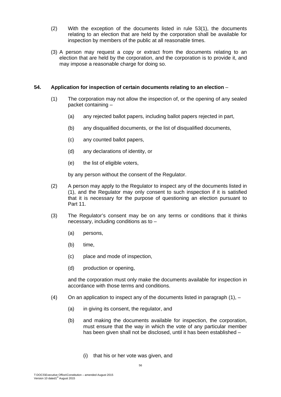- (2) With the exception of the documents listed in rule 53(1), the documents relating to an election that are held by the corporation shall be available for inspection by members of the public at all reasonable times.
- (3) A person may request a copy or extract from the documents relating to an election that are held by the corporation, and the corporation is to provide it, and may impose a reasonable charge for doing so.

# **54. Application for inspection of certain documents relating to an election** –

- (1) The corporation may not allow the inspection of, or the opening of any sealed packet containing –
	- (a) any rejected ballot papers, including ballot papers rejected in part,
	- (b) any disqualified documents, or the list of disqualified documents,
	- (c) any counted ballot papers,
	- (d) any declarations of identity, or
	- (e) the list of eligible voters,

by any person without the consent of the Regulator.

- (2) A person may apply to the Regulator to inspect any of the documents listed in (1), and the Regulator may only consent to such inspection if it is satisfied that it is necessary for the purpose of questioning an election pursuant to Part 11.
- (3) The Regulator's consent may be on any terms or conditions that it thinks necessary, including conditions as to –
	- (a) persons,
	- (b) time,
	- (c) place and mode of inspection,
	- (d) production or opening,

and the corporation must only make the documents available for inspection in accordance with those terms and conditions.

- (4) On an application to inspect any of the documents listed in paragraph  $(1)$ ,  $-$ 
	- (a) in giving its consent, the regulator, and
	- (b) and making the documents available for inspection, the corporation, must ensure that the way in which the vote of any particular member has been given shall not be disclosed, until it has been established –
		- (i) that his or her vote was given, and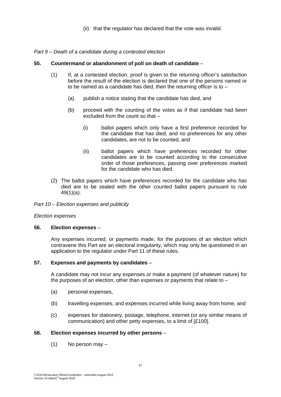(ii) that the regulator has declared that the vote was invalid.

#### *Part 9 – Death of a candidate during a contested election*

# **55. Countermand or abandonment of poll on death of candidate** –

- (1) If, at a contested election, proof is given to the returning officer's satisfaction before the result of the election is declared that one of the persons named or to be named as a candidate has died, then the returning officer is to –
	- (a) publish a notice stating that the candidate has died, and
	- (b) proceed with the counting of the votes as if that candidate had been excluded from the count so that –
		- (i) ballot papers which only have a first preference recorded for the candidate that has died, and no preferences for any other candidates, are not to be counted, and
		- (ii) ballot papers which have preferences recorded for other candidates are to be counted according to the consecutive order of those preferences, passing over preferences marked for the candidate who has died.
- (2) The ballot papers which have preferences recorded for the candidate who has died are to be sealed with the other counted ballot papers pursuant to rule 49(1)(a).

*Part 10 – Election expenses and publicity* 

#### *Election expenses*

#### **56. Election expenses** –

Any expenses incurred, or payments made, for the purposes of an election which contravene this Part are an electoral irregularity, which may only be questioned in an application to the regulator under Part 11 of these rules.

#### **57. Expenses and payments by candidates** –

A candidate may not incur any expenses or make a payment (of whatever nature) for the purposes of an election, other than expenses or payments that relate to –

- (a) personal expenses,
- (b) travelling expenses, and expenses incurred while living away from home, and
- (c) expenses for stationery, postage, telephone, internet (or any similar means of communication) and other petty expenses, to a limit of [£100].

# **58. Election expenses incurred by other persons** –

(1) No person may –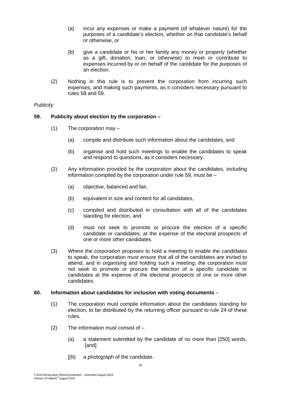- (a) incur any expenses or make a payment (of whatever nature) for the purposes of a candidate's election, whether on that candidate's behalf or otherwise, or
- (b) give a candidate or his or her family any money or property (whether as a gift, donation, loan, or otherwise) to meet or contribute to expenses incurred by or on behalf of the candidate for the purposes of an election.
- (2) Nothing in this rule is to prevent the corporation from incurring such expenses, and making such payments, as it considers necessary pursuant to rules 58 and 59.

# *Publicity*

# **59. Publicity about election by the corporation –**

- (1) The corporation may
	- (a) compile and distribute such information about the candidates, and
	- (b) organise and hold such meetings to enable the candidates to speak and respond to questions, as it considers necessary.
- (2) Any information provided by the corporation about the candidates, including information compiled by the corporation under rule 59, must be –
	- (a) objective, balanced and fair,
	- (b) equivalent in size and content for all candidates,
	- (c) compiled and distributed in consultation with all of the candidates standing for election, and
	- (d) must not seek to promote or procure the election of a specific candidate or candidates, at the expense of the electoral prospects of one or more other candidates.
- (3) Where the corporation proposes to hold a meeting to enable the candidates to speak, the corporation must ensure that all of the candidates are invited to attend, and in organising and holding such a meeting, the corporation must not seek to promote or procure the election of a specific candidate or candidates at the expense of the electoral prospects of one or more other candidates.

#### **60. Information about candidates for inclusion with voting documents** –

- (1) The corporation must compile information about the candidates standing for election, to be distributed by the returning officer pursuant to rule 24 of these rules.
- (2) The information must consist of
	- (a) a statement submitted by the candidate of no more than [250] words, [and]
	- [(b) a photograph of the candidate.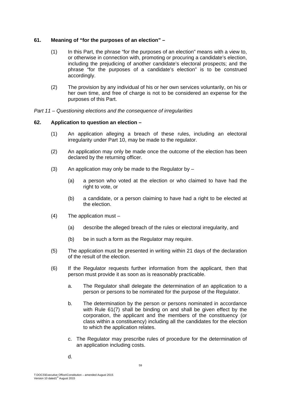# **61. Meaning of "for the purposes of an election" –**

- (1) In this Part, the phrase "for the purposes of an election" means with a view to, or otherwise in connection with, promoting or procuring a candidate's election, including the prejudicing of another candidate's electoral prospects; and the phrase "for the purposes of a candidate's election" is to be construed accordingly.
- (2) The provision by any individual of his or her own services voluntarily, on his or her own time, and free of charge is not to be considered an expense for the purposes of this Part.

*Part 11 – Questioning elections and the consequence of irregularities* 

# **62. Application to question an election –**

- (1) An application alleging a breach of these rules, including an electoral irregularity under Part 10, may be made to the regulator.
- (2) An application may only be made once the outcome of the election has been declared by the returning officer.
- (3) An application may only be made to the Regulator by  $-$ 
	- (a) a person who voted at the election or who claimed to have had the right to vote, or
	- (b) a candidate, or a person claiming to have had a right to be elected at the election.
- (4) The application must
	- (a) describe the alleged breach of the rules or electoral irregularity, and
	- (b) be in such a form as the Regulator may require.
- (5) The application must be presented in writing within 21 days of the declaration of the result of the election.
- (6) If the Regulator requests further information from the applicant, then that person must provide it as soon as is reasonably practicable.
	- a. The Regulator shall delegate the determination of an application to a person or persons to be nominated for the purpose of the Regulator.
	- b. The determination by the person or persons nominated in accordance with Rule 61(7) shall be binding on and shall be given effect by the corporation, the applicant and the members of the constituency (or class within a constituency) including all the candidates for the election to which the application relates.
	- c. The Regulator may prescribe rules of procedure for the determination of an application including costs.
	- d.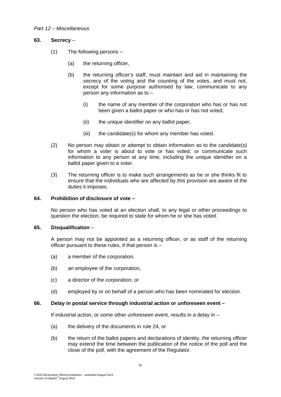# *Part 12 – Miscellaneous*

# **63. Secrecy** –

- (1) The following persons
	- (a) the returning officer,
	- (b) the returning officer's staff, must maintain and aid in maintaining the secrecy of the voting and the counting of the votes, and must not, except for some purpose authorised by law, communicate to any person any information as to –
		- (i) the name of any member of the corporation who has or has not been given a ballot paper or who has or has not voted,
		- (ii) the unique identifier on any ballot paper,
		- (iii) the candidate(s) for whom any member has voted.
- (2) No person may obtain or attempt to obtain information as to the candidate(s) for whom a voter is about to vote or has voted, or communicate such information to any person at any time, including the unique identifier on a ballot paper given to a voter.
- (3) The returning officer is to make such arrangements as he or she thinks fit to ensure that the individuals who are affected by this provision are aware of the duties it imposes.

# **64. Prohibition of disclosure of vote –**

No person who has voted at an election shall, in any legal or other proceedings to question the election, be required to state for whom he or she has voted.

#### **65. Disqualification** –

A person may not be appointed as a returning officer, or as staff of the returning officer pursuant to these rules, if that person is –

- (a) a member of the corporation,
- (b) an employee of the corporation,
- (c) a director of the corporation, or
- (d) employed by or on behalf of a person who has been nominated for election.

#### **66. Delay in postal service through industrial action or unforeseen event –**

If industrial action, or some other unforeseen event, results in a delay in –

- (a) the delivery of the documents in rule 24, or
- (b) the return of the ballot papers and declarations of identity, the returning officer may extend the time between the publication of the notice of the poll and the close of the poll, with the agreement of the Regulator.